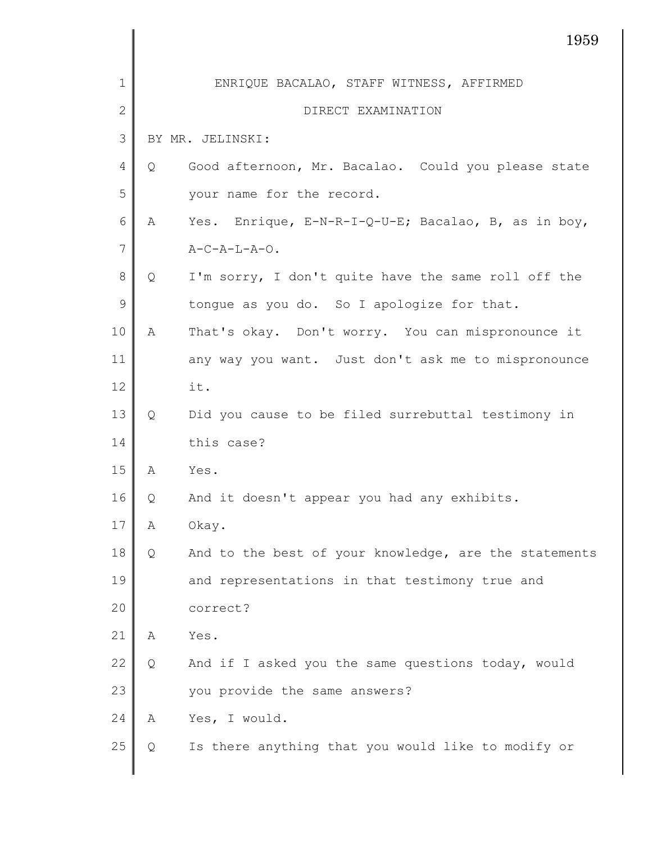|                |   | 1959                                                  |
|----------------|---|-------------------------------------------------------|
| 1              |   | ENRIQUE BACALAO, STAFF WITNESS, AFFIRMED              |
| $\overline{2}$ |   | DIRECT EXAMINATION                                    |
| 3              |   | BY MR. JELINSKI:                                      |
| $\overline{4}$ | Q | Good afternoon, Mr. Bacalao. Could you please state   |
| 5              |   | your name for the record.                             |
| 6              | А | Yes. Enrique, E-N-R-I-Q-U-E; Bacalao, B, as in boy,   |
| 7              |   | $A-C-A-L-A-O.$                                        |
| $8\,$          | Q | I'm sorry, I don't quite have the same roll off the   |
| $\mathcal{G}$  |   | tongue as you do. So I apologize for that.            |
| 10             | Α | That's okay. Don't worry. You can mispronounce it     |
| 11             |   | any way you want. Just don't ask me to mispronounce   |
| 12             |   | it.                                                   |
| 13             | Q | Did you cause to be filed surrebuttal testimony in    |
| 14             |   | this case?                                            |
| 15             | Α | Yes.                                                  |
| 16             | Q | And it doesn't appear you had any exhibits.           |
| 17             | Α | Okay.                                                 |
| 18             | Q | And to the best of your knowledge, are the statements |
| 19             |   | and representations in that testimony true and        |
| 20             |   | correct?                                              |
| 21             | Α | Yes.                                                  |
| 22             | Q | And if I asked you the same questions today, would    |
| 23             |   | you provide the same answers?                         |
| 24             | Α | Yes, I would.                                         |
| 25             | Q | Is there anything that you would like to modify or    |
|                |   |                                                       |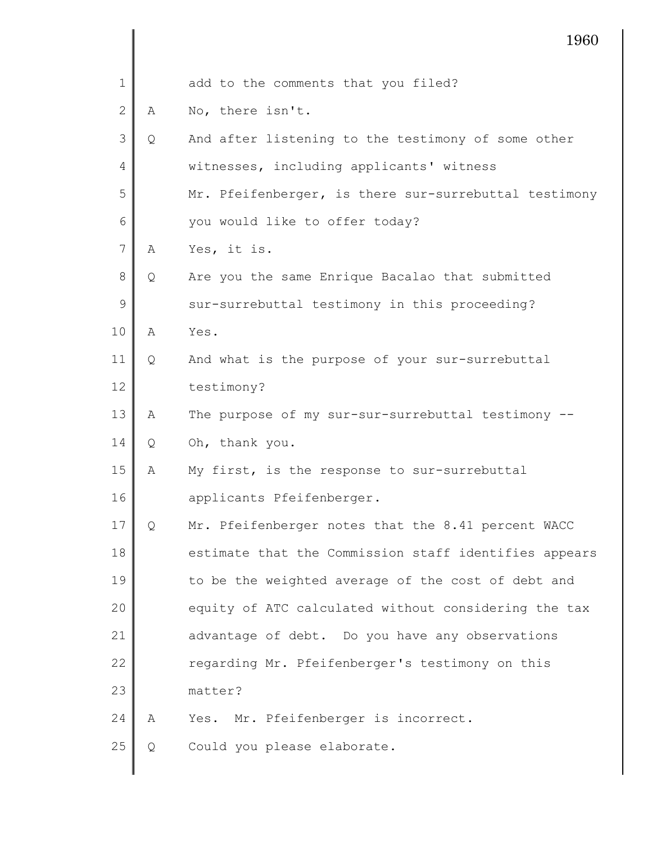|    |   | 1960                                                  |
|----|---|-------------------------------------------------------|
| 1  |   | add to the comments that you filed?                   |
| 2  | Α | No, there isn't.                                      |
| 3  | Q | And after listening to the testimony of some other    |
| 4  |   | witnesses, including applicants' witness              |
| 5  |   | Mr. Pfeifenberger, is there sur-surrebuttal testimony |
| 6  |   | you would like to offer today?                        |
| 7  | Α | Yes, it is.                                           |
| 8  | Q | Are you the same Enrique Bacalao that submitted       |
| 9  |   | sur-surrebuttal testimony in this proceeding?         |
| 10 | A | Yes.                                                  |
| 11 | Q | And what is the purpose of your sur-surrebuttal       |
| 12 |   | testimony?                                            |
| 13 | Α | The purpose of my sur-sur-surrebuttal testimony --    |
| 14 | Q | Oh, thank you.                                        |
| 15 | Α | My first, is the response to sur-surrebuttal          |
| 16 |   | applicants Pfeifenberger.                             |
| 17 | Q | Mr. Pfeifenberger notes that the 8.41 percent WACC    |
| 18 |   | estimate that the Commission staff identifies appears |
| 19 |   | to be the weighted average of the cost of debt and    |
| 20 |   | equity of ATC calculated without considering the tax  |
| 21 |   | advantage of debt. Do you have any observations       |
| 22 |   | regarding Mr. Pfeifenberger's testimony on this       |
| 23 |   | matter?                                               |
| 24 | Α | Yes. Mr. Pfeifenberger is incorrect.                  |
| 25 | Q | Could you please elaborate.                           |
|    |   |                                                       |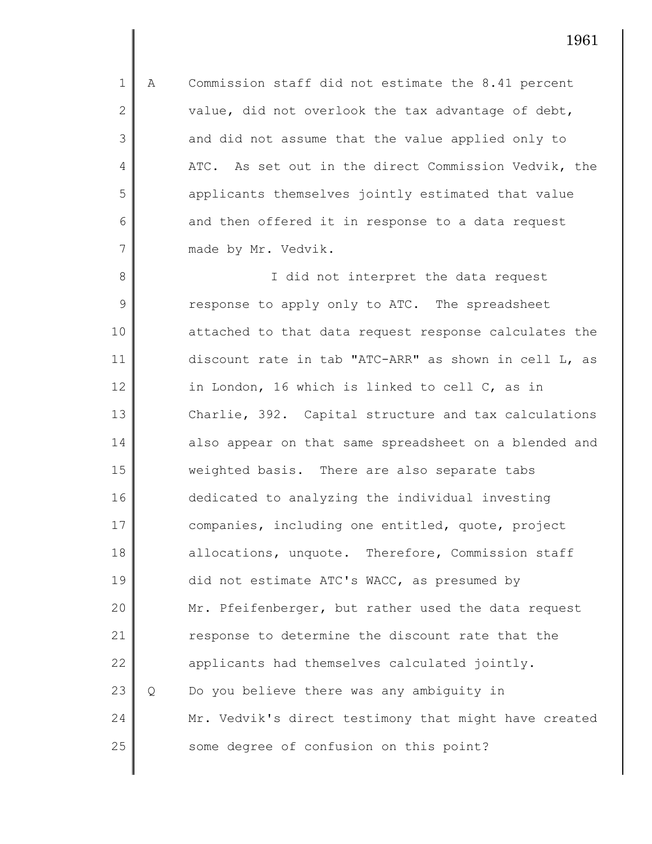1 2 3 4 5 6 7 A Commission staff did not estimate the 8.41 percent value, did not overlook the tax advantage of debt, and did not assume that the value applied only to ATC. As set out in the direct Commission Vedvik, the applicants themselves jointly estimated that value and then offered it in response to a data request made by Mr. Vedvik.

8 9 10 11 12 13 14 15 16 17 18 19 20 21 22 23 24 25 I did not interpret the data request response to apply only to ATC. The spreadsheet attached to that data request response calculates the discount rate in tab "ATC-ARR" as shown in cell L, as in London, 16 which is linked to cell C, as in Charlie, 392. Capital structure and tax calculations also appear on that same spreadsheet on a blended and weighted basis. There are also separate tabs dedicated to analyzing the individual investing companies, including one entitled, quote, project allocations, unquote. Therefore, Commission staff did not estimate ATC's WACC, as presumed by Mr. Pfeifenberger, but rather used the data request response to determine the discount rate that the applicants had themselves calculated jointly. Q Do you believe there was any ambiguity in Mr. Vedvik's direct testimony that might have created some degree of confusion on this point?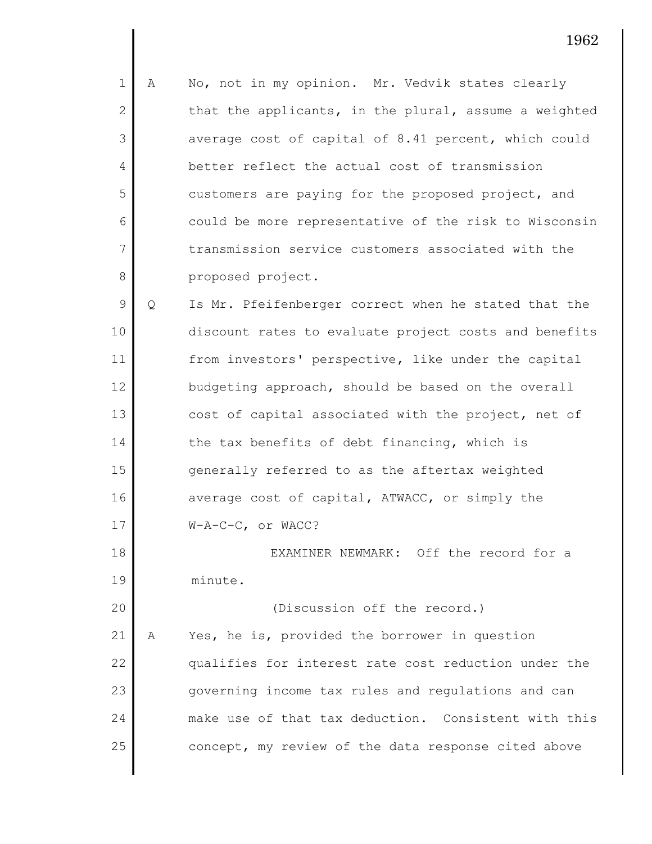1 2 3 4 5 6 7 8 A No, not in my opinion. Mr. Vedvik states clearly that the applicants, in the plural, assume a weighted average cost of capital of 8.41 percent, which could better reflect the actual cost of transmission customers are paying for the proposed project, and could be more representative of the risk to Wisconsin transmission service customers associated with the proposed project.

9 10 11 12 13 14 15 16 17 Q Is Mr. Pfeifenberger correct when he stated that the discount rates to evaluate project costs and benefits from investors' perspective, like under the capital budgeting approach, should be based on the overall cost of capital associated with the project, net of the tax benefits of debt financing, which is generally referred to as the aftertax weighted average cost of capital, ATWACC, or simply the W-A-C-C, or WACC?

18 19 EXAMINER NEWMARK: Off the record for a minute.

20 21 22 23 24 25 (Discussion off the record.) A Yes, he is, provided the borrower in question qualifies for interest rate cost reduction under the governing income tax rules and regulations and can make use of that tax deduction. Consistent with this concept, my review of the data response cited above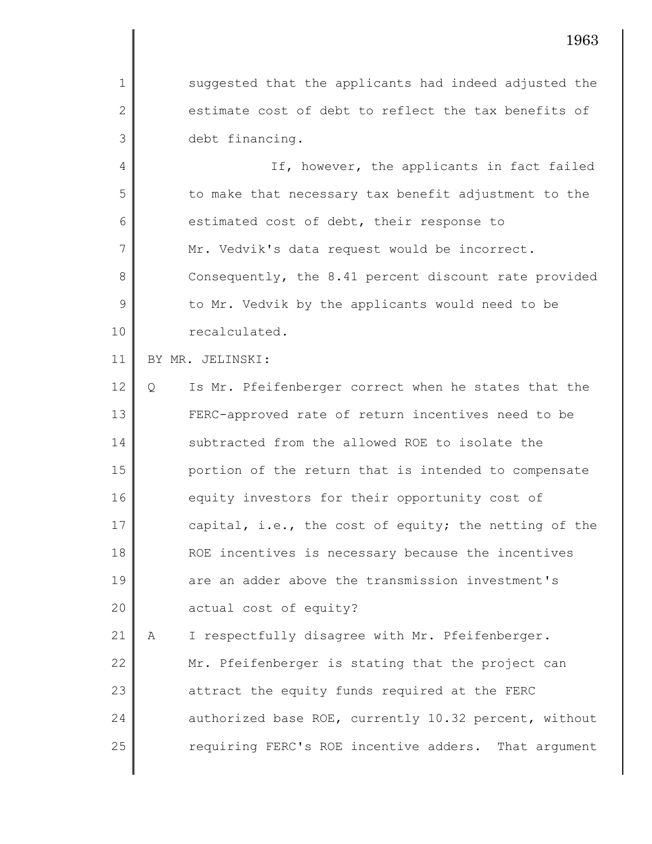suggested that the applicants had indeed adjusted the estimate cost of debt to reflect the tax benefits of debt financing.

4 5 6 7 8 9 10 If, however, the applicants in fact failed to make that necessary tax benefit adjustment to the estimated cost of debt, their response to Mr. Vedvik's data request would be incorrect. Consequently, the 8.41 percent discount rate provided to Mr. Vedvik by the applicants would need to be recalculated.

## 11 BY MR. JELINSKI:

1

2

3

12 13 14 15 16 17 18 19 20 Q Is Mr. Pfeifenberger correct when he states that the FERC-approved rate of return incentives need to be subtracted from the allowed ROE to isolate the portion of the return that is intended to compensate equity investors for their opportunity cost of capital, i.e., the cost of equity; the netting of the ROE incentives is necessary because the incentives are an adder above the transmission investment's actual cost of equity?

21 22 23 24 25 A I respectfully disagree with Mr. Pfeifenberger. Mr. Pfeifenberger is stating that the project can attract the equity funds required at the FERC authorized base ROE, currently 10.32 percent, without requiring FERC's ROE incentive adders. That argument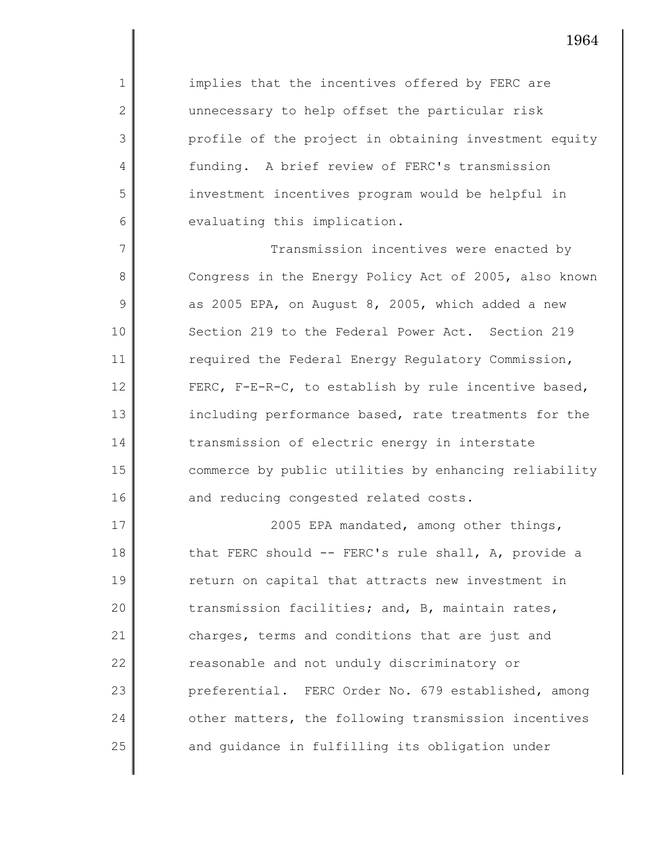implies that the incentives offered by FERC are unnecessary to help offset the particular risk profile of the project in obtaining investment equity funding. A brief review of FERC's transmission investment incentives program would be helpful in evaluating this implication.

1

2

3

4

5

6

7 8 9 10 11 12 13 14 15 16 Transmission incentives were enacted by Congress in the Energy Policy Act of 2005, also known as 2005 EPA, on August 8, 2005, which added a new Section 219 to the Federal Power Act. Section 219 required the Federal Energy Regulatory Commission, FERC, F-E-R-C, to establish by rule incentive based, including performance based, rate treatments for the transmission of electric energy in interstate commerce by public utilities by enhancing reliability and reducing congested related costs.

17 18 19 20 21 22 23 24 25 2005 EPA mandated, among other things, that FERC should -- FERC's rule shall, A, provide a return on capital that attracts new investment in transmission facilities; and, B, maintain rates, charges, terms and conditions that are just and reasonable and not unduly discriminatory or preferential. FERC Order No. 679 established, among other matters, the following transmission incentives and guidance in fulfilling its obligation under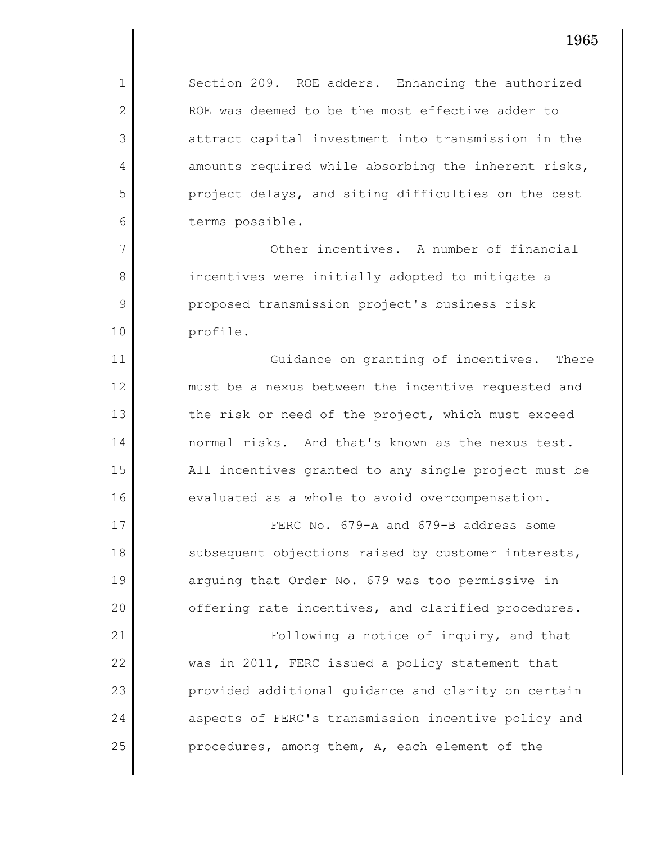Section 209. ROE adders. Enhancing the authorized ROE was deemed to be the most effective adder to attract capital investment into transmission in the amounts required while absorbing the inherent risks, project delays, and siting difficulties on the best terms possible.

1

2

3

4

5

6

7

8

9

10

11

12

13

14

15

16

25

Other incentives. A number of financial incentives were initially adopted to mitigate a proposed transmission project's business risk profile.

Guidance on granting of incentives. There must be a nexus between the incentive requested and the risk or need of the project, which must exceed normal risks. And that's known as the nexus test. All incentives granted to any single project must be evaluated as a whole to avoid overcompensation.

17 18 19 20 21 22 23 24 FERC No. 679-A and 679-B address some subsequent objections raised by customer interests, arguing that Order No. 679 was too permissive in offering rate incentives, and clarified procedures. Following a notice of inquiry, and that was in 2011, FERC issued a policy statement that provided additional guidance and clarity on certain aspects of FERC's transmission incentive policy and

procedures, among them, A, each element of the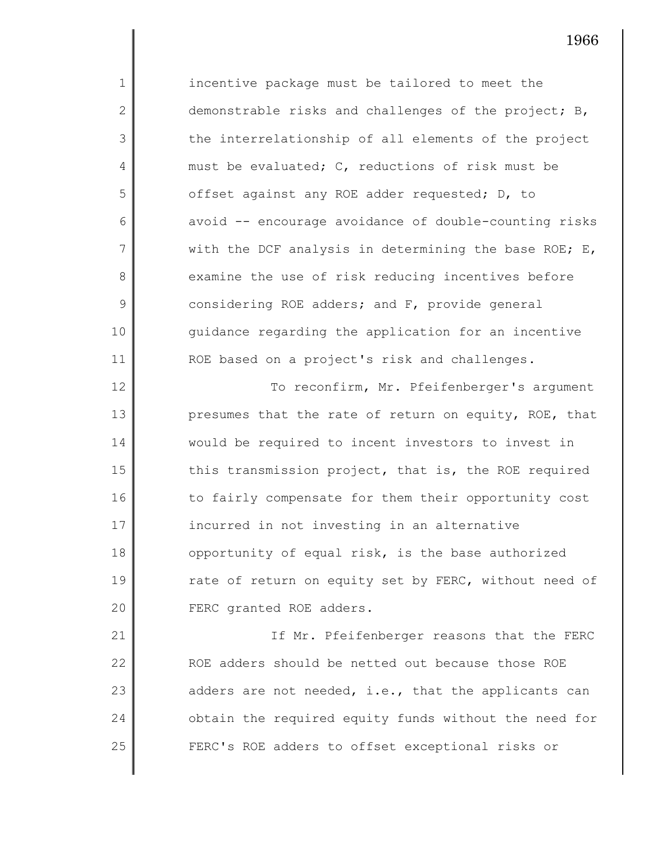incentive package must be tailored to meet the demonstrable risks and challenges of the project; B, the interrelationship of all elements of the project must be evaluated; C, reductions of risk must be offset against any ROE adder requested; D, to avoid -- encourage avoidance of double-counting risks with the DCF analysis in determining the base ROE;  $E$ , examine the use of risk reducing incentives before considering ROE adders; and F, provide general guidance regarding the application for an incentive ROE based on a project's risk and challenges.

1

2

3

4

5

6

7

8

9

10

11

12 13 14 15 16 17 18 19 20 To reconfirm, Mr. Pfeifenberger's argument presumes that the rate of return on equity, ROE, that would be required to incent investors to invest in this transmission project, that is, the ROE required to fairly compensate for them their opportunity cost incurred in not investing in an alternative opportunity of equal risk, is the base authorized rate of return on equity set by FERC, without need of FERC granted ROE adders.

21 22 23 24 25 If Mr. Pfeifenberger reasons that the FERC ROE adders should be netted out because those ROE adders are not needed, i.e., that the applicants can obtain the required equity funds without the need for FERC's ROE adders to offset exceptional risks or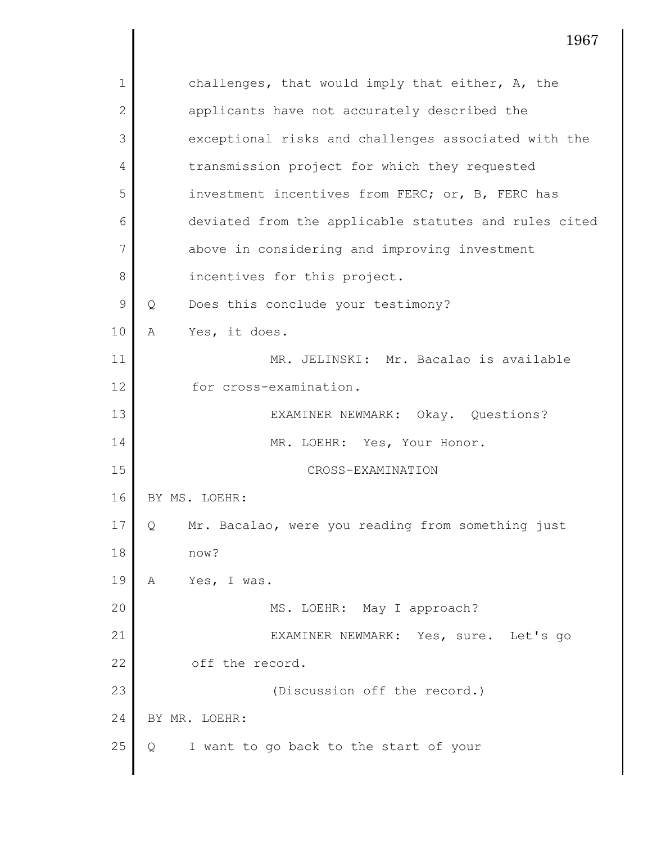| $\mathbf{1}$   | challenges, that would imply that either, A, the       |
|----------------|--------------------------------------------------------|
| $\mathbf{2}$   | applicants have not accurately described the           |
| 3              | exceptional risks and challenges associated with the   |
| 4              | transmission project for which they requested          |
| 5              | investment incentives from FERC; or, B, FERC has       |
| 6              | deviated from the applicable statutes and rules cited  |
| $\overline{7}$ | above in considering and improving investment          |
| 8              | incentives for this project.                           |
| 9              | Does this conclude your testimony?<br>Q                |
| 10             | Yes, it does.<br>Α                                     |
| 11             | MR. JELINSKI: Mr. Bacalao is available                 |
| 12             | for cross-examination.                                 |
| 13             | EXAMINER NEWMARK: Okay. Questions?                     |
| 14             | MR. LOEHR: Yes, Your Honor.                            |
| 15             | CROSS-EXAMINATION                                      |
| 16             | BY MS. LOEHR:                                          |
| 17             | Mr. Bacalao, were you reading from something just<br>Q |
| 18             | now?                                                   |
| 19             | Yes, I was.<br>Α                                       |
| 20             | MS. LOEHR: May I approach?                             |
| 21             | EXAMINER NEWMARK: Yes, sure. Let's go                  |
| 22             | off the record.                                        |
| 23             | (Discussion off the record.)                           |
| 24             | BY MR. LOEHR:                                          |
| 25             | I want to go back to the start of your<br>Q            |
|                |                                                        |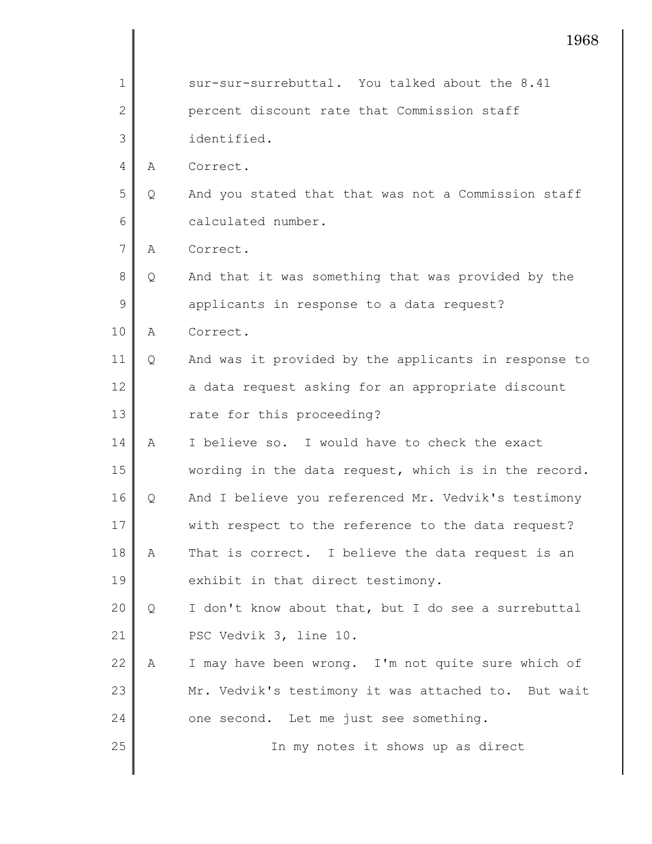|              |   | 1968                                                 |
|--------------|---|------------------------------------------------------|
| 1            |   | sur-sur-surrebuttal. You talked about the 8.41       |
| $\mathbf{2}$ |   | percent discount rate that Commission staff          |
| 3            |   | identified.                                          |
| 4            | Α | Correct.                                             |
| 5            | Q | And you stated that that was not a Commission staff  |
| 6            |   | calculated number.                                   |
| 7            | Α | Correct.                                             |
| 8            | Q | And that it was something that was provided by the   |
| 9            |   | applicants in response to a data request?            |
| 10           | A | Correct.                                             |
| 11           | Q | And was it provided by the applicants in response to |
| 12           |   | a data request asking for an appropriate discount    |
| 13           |   | rate for this proceeding?                            |
| 14           | Α | I believe so. I would have to check the exact        |
| 15           |   | wording in the data request, which is in the record. |
| 16           | Q | And I believe you referenced Mr. Vedvik's testimony  |
| 17           |   | with respect to the reference to the data request?   |
| 18           | А | That is correct. I believe the data request is an    |
| 19           |   | exhibit in that direct testimony.                    |
| 20           | Q | I don't know about that, but I do see a surrebuttal  |
| 21           |   | PSC Vedvik 3, line 10.                               |
| 22           | A | I may have been wrong. I'm not quite sure which of   |
| 23           |   | Mr. Vedvik's testimony it was attached to. But wait  |
| 24           |   | one second. Let me just see something.               |
| 25           |   | In my notes it shows up as direct                    |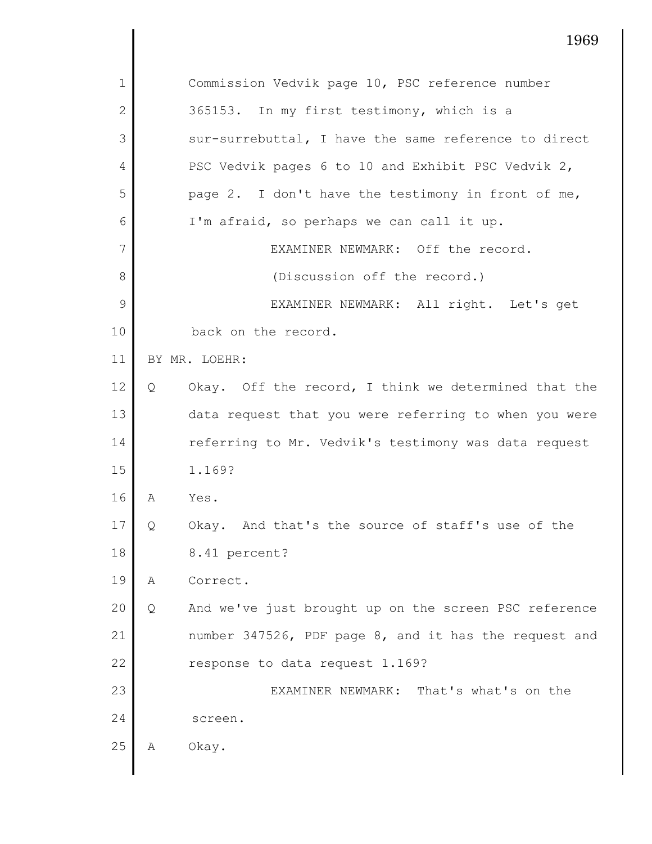|              | 1969                                                       |
|--------------|------------------------------------------------------------|
| 1            | Commission Vedvik page 10, PSC reference number            |
| $\mathbf{2}$ | 365153. In my first testimony, which is a                  |
| 3            | sur-surrebuttal, I have the same reference to direct       |
| 4            | PSC Vedvik pages 6 to 10 and Exhibit PSC Vedvik 2,         |
| 5            | page 2. I don't have the testimony in front of me,         |
| 6            | I'm afraid, so perhaps we can call it up.                  |
| 7            | EXAMINER NEWMARK: Off the record.                          |
| 8            | (Discussion off the record.)                               |
| 9            | EXAMINER NEWMARK: All right. Let's get                     |
| 10           | back on the record.                                        |
| 11           | BY MR. LOEHR:                                              |
| 12           | Okay. Off the record, I think we determined that the<br>Q  |
| 13           | data request that you were referring to when you were      |
| 14           | referring to Mr. Vedvik's testimony was data request       |
| 15           | 1.169?                                                     |
| 16           | Yes.<br>Α                                                  |
| 17           | Okay. And that's the source of staff's use of the<br>Q     |
| 18           | 8.41 percent?                                              |
| 19           | Correct.<br>А                                              |
| 20           | And we've just brought up on the screen PSC reference<br>Q |
| 21           | number 347526, PDF page 8, and it has the request and      |
| 22           | response to data request 1.169?                            |
| 23           | EXAMINER NEWMARK: That's what's on the                     |
| 24           | screen.                                                    |
| 25           | Okay.<br>Α                                                 |
|              |                                                            |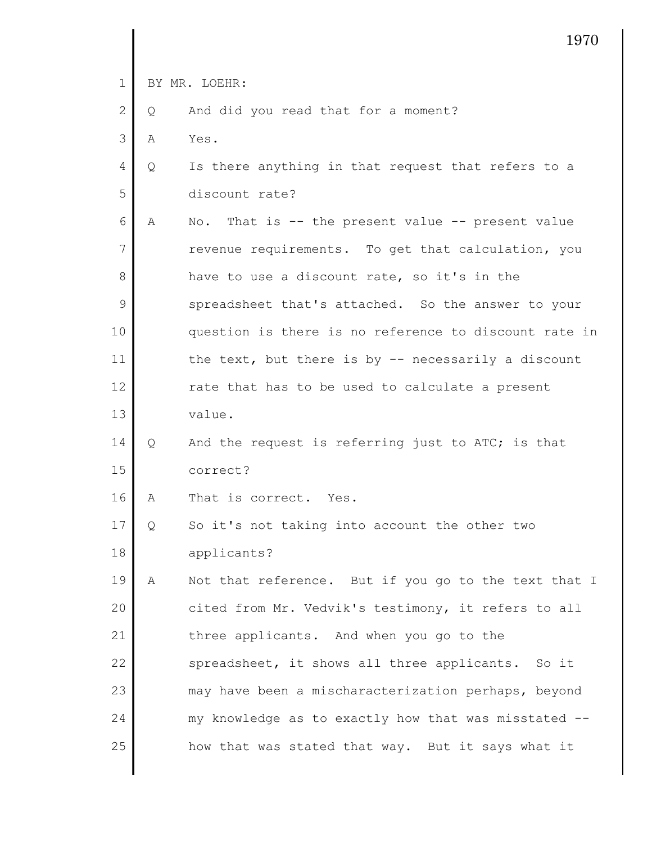1 2 3 4 5 6 7 8 9 10 11 12 13 14 15 16 17 18 19 20 21 22 23 24 25 BY MR. LOEHR: Q And did you read that for a moment? A Yes. Q Is there anything in that request that refers to a discount rate? A No. That is -- the present value -- present value revenue requirements. To get that calculation, you have to use a discount rate, so it's in the spreadsheet that's attached. So the answer to your question is there is no reference to discount rate in the text, but there is by  $-$  necessarily a discount rate that has to be used to calculate a present value. Q And the request is referring just to ATC; is that correct? A That is correct. Yes. Q So it's not taking into account the other two applicants? A Not that reference. But if you go to the text that I cited from Mr. Vedvik's testimony, it refers to all three applicants. And when you go to the spreadsheet, it shows all three applicants. So it may have been a mischaracterization perhaps, beyond my knowledge as to exactly how that was misstated - how that was stated that way. But it says what it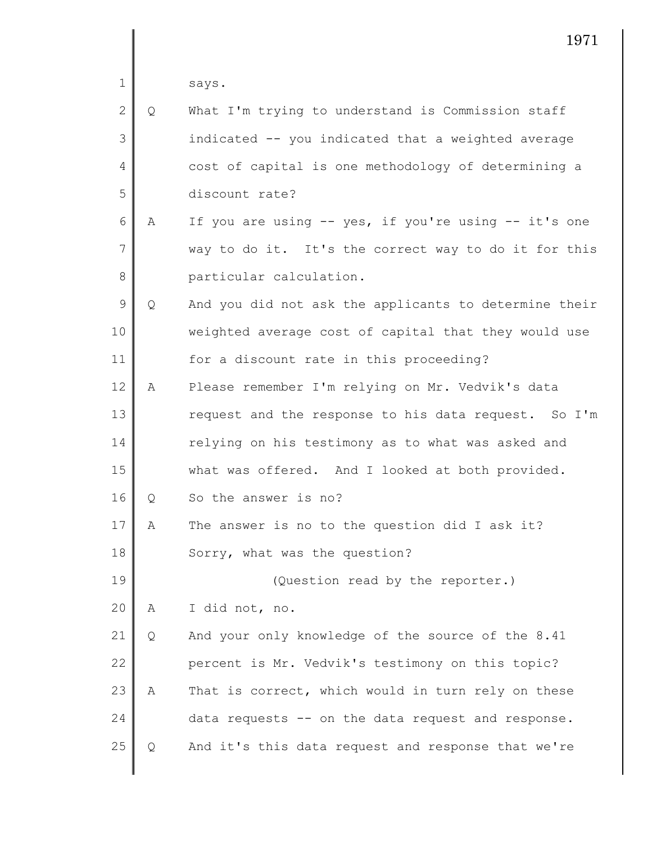says.

1

| $\overline{2}$ | Q | What I'm trying to understand is Commission staff     |
|----------------|---|-------------------------------------------------------|
| 3              |   | indicated -- you indicated that a weighted average    |
| $\overline{4}$ |   | cost of capital is one methodology of determining a   |
| 5              |   | discount rate?                                        |
| 6              | Α | If you are using -- yes, if you're using -- it's one  |
| 7              |   | way to do it. It's the correct way to do it for this  |
| 8              |   | particular calculation.                               |
| 9              | Q | And you did not ask the applicants to determine their |
| 10             |   | weighted average cost of capital that they would use  |
| 11             |   | for a discount rate in this proceeding?               |
| 12             | А | Please remember I'm relying on Mr. Vedvik's data      |
|                |   |                                                       |

13 14 15 request and the response to his data request. So I'm relying on his testimony as to what was asked and what was offered. And I looked at both provided.

16 Q So the answer is no?

17 18 A The answer is no to the question did I ask it? Sorry, what was the question?

19 (Question read by the reporter.)

20 A I did not, no.

21 22 23 24 25 Q And your only knowledge of the source of the 8.41 percent is Mr. Vedvik's testimony on this topic? A That is correct, which would in turn rely on these data requests -- on the data request and response. Q And it's this data request and response that we're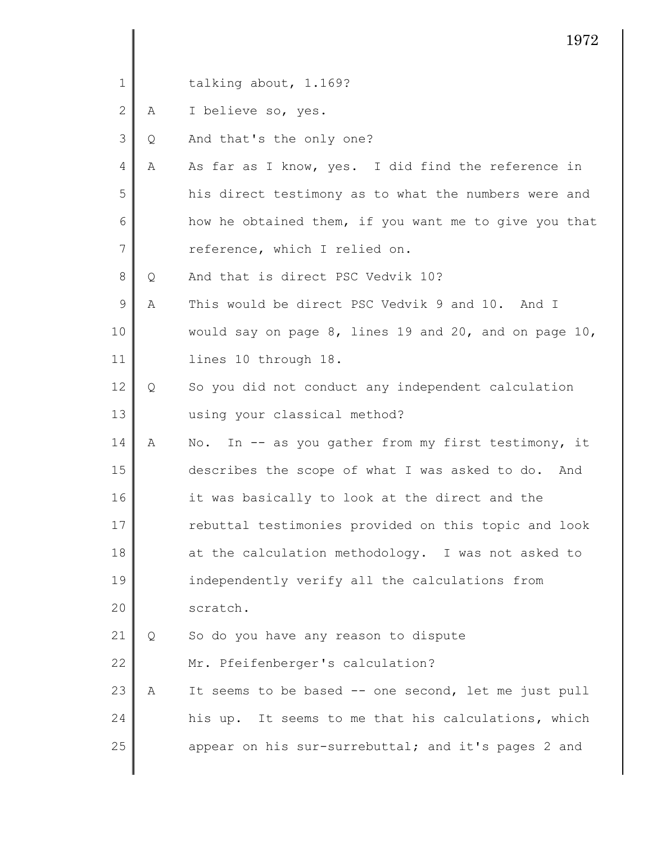|              |   | 1972                                                   |  |
|--------------|---|--------------------------------------------------------|--|
| 1            |   | talking about, 1.169?                                  |  |
| $\mathbf{2}$ | Α | I believe so, yes.                                     |  |
| 3            | Q | And that's the only one?                               |  |
| 4            | Α | As far as I know, yes. I did find the reference in     |  |
| 5            |   | his direct testimony as to what the numbers were and   |  |
| 6            |   | how he obtained them, if you want me to give you that  |  |
| 7            |   | reference, which I relied on.                          |  |
| 8            | Q | And that is direct PSC Vedvik 10?                      |  |
| 9            | Α | This would be direct PSC Vedvik 9 and 10. And I        |  |
| 10           |   | would say on page 8, lines 19 and 20, and on page 10,  |  |
| 11           |   | lines 10 through 18.                                   |  |
| 12           | Q | So you did not conduct any independent calculation     |  |
| 13           |   | using your classical method?                           |  |
| 14           | Α | In -- as you gather from my first testimony, it<br>No. |  |
| 15           |   | describes the scope of what I was asked to do. And     |  |
| 16           |   | it was basically to look at the direct and the         |  |
| 17           |   | rebuttal testimonies provided on this topic and look   |  |
| 18           |   | at the calculation methodology. I was not asked to     |  |
| 19           |   | independently verify all the calculations from         |  |
| 20           |   | scratch.                                               |  |
| 21           | Q | So do you have any reason to dispute                   |  |
| 22           |   | Mr. Pfeifenberger's calculation?                       |  |
| 23           | Α | It seems to be based -- one second, let me just pull   |  |
| 24           |   | his up. It seems to me that his calculations, which    |  |
| 25           |   | appear on his sur-surrebuttal; and it's pages 2 and    |  |
|              |   |                                                        |  |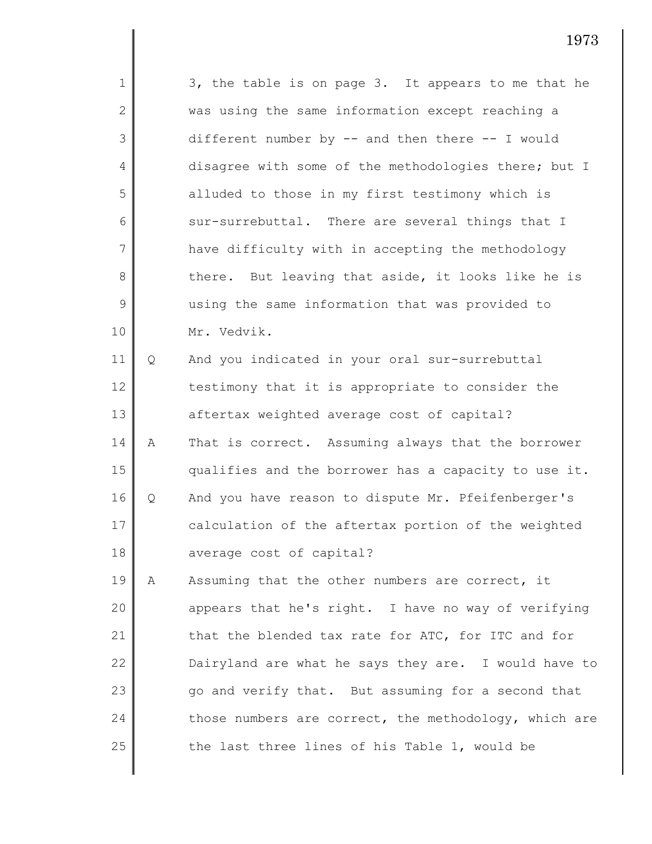1 2 3 4 5 6 7 8 9 10 11 12 13 14 15 16 17 18 19 20 21 22 23 24 25 3, the table is on page 3. It appears to me that he was using the same information except reaching a different number by  $--$  and then there  $--$  I would disagree with some of the methodologies there; but I alluded to those in my first testimony which is sur-surrebuttal. There are several things that I have difficulty with in accepting the methodology there. But leaving that aside, it looks like he is using the same information that was provided to Mr. Vedvik. Q And you indicated in your oral sur-surrebuttal testimony that it is appropriate to consider the aftertax weighted average cost of capital? A That is correct. Assuming always that the borrower qualifies and the borrower has a capacity to use it. Q And you have reason to dispute Mr. Pfeifenberger's calculation of the aftertax portion of the weighted average cost of capital? A Assuming that the other numbers are correct, it appears that he's right. I have no way of verifying that the blended tax rate for ATC, for ITC and for Dairyland are what he says they are. I would have to go and verify that. But assuming for a second that those numbers are correct, the methodology, which are the last three lines of his Table 1, would be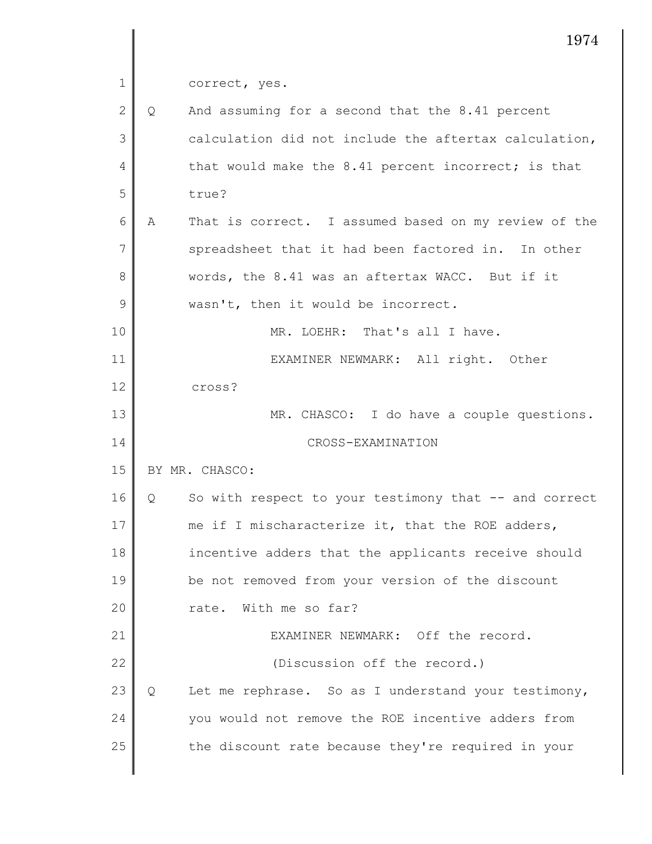correct, yes.

| $\overline{2}$ | Q | And assuming for a second that the 8.41 percent       |
|----------------|---|-------------------------------------------------------|
| 3              |   | calculation did not include the aftertax calculation, |
| 4              |   | that would make the 8.41 percent incorrect; is that   |
| 5              |   | true?                                                 |
| 6              | A | That is correct. I assumed based on my review of the  |
| 7              |   | spreadsheet that it had been factored in. In other    |
| 8              |   | words, the 8.41 was an aftertax WACC. But if it       |
| 9              |   | wasn't, then it would be incorrect.                   |
| 10             |   | MR. LOEHR: That's all I have.                         |
| 11             |   | EXAMINER NEWMARK: All right. Other                    |
| 12             |   | cross?                                                |
| 13             |   | MR. CHASCO: I do have a couple questions.             |
| 14             |   | CROSS-EXAMINATION                                     |
| 15             |   | BY MR. CHASCO:                                        |
| 16             | Q | So with respect to your testimony that -- and correct |
| 17             |   | me if I mischaracterize it, that the ROE adders,      |
| 18             |   | incentive adders that the applicants receive should   |
| 19             |   | be not removed from your version of the discount      |
| 20             |   | With me so far?<br>rate.                              |
| 21             |   | EXAMINER NEWMARK: Off the record.                     |
| 22             |   | (Discussion off the record.)                          |
| 23             | Q | Let me rephrase. So as I understand your testimony,   |
| 24             |   | you would not remove the ROE incentive adders from    |
| 25             |   | the discount rate because they're required in your    |
|                |   |                                                       |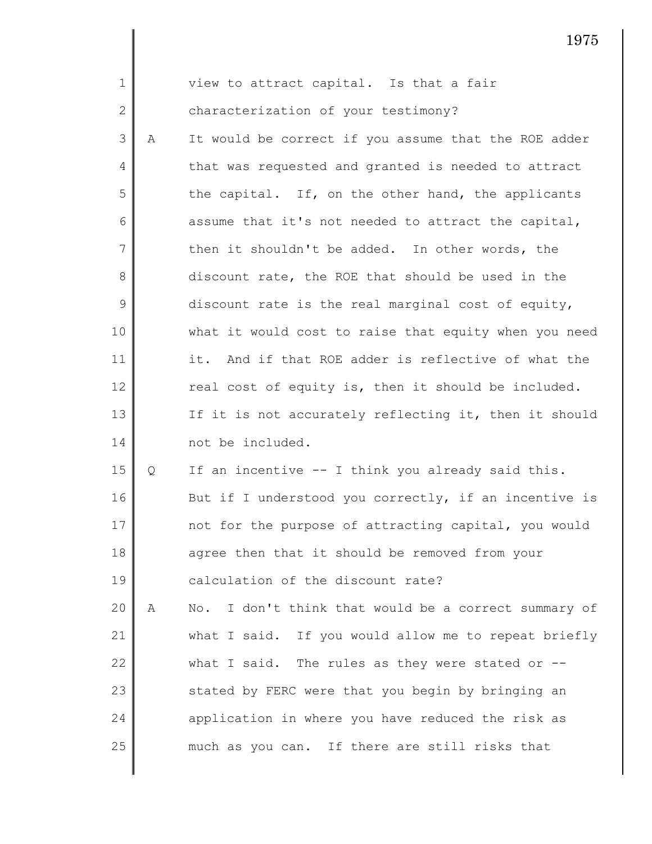| $\mathbf{1}$   |   | view to attract capital. Is that a fair                                |
|----------------|---|------------------------------------------------------------------------|
| $\mathbf 2$    |   | characterization of your testimony?                                    |
| 3              | Α | It would be correct if you assume that the ROE adder                   |
| 4              |   | that was requested and granted is needed to attract                    |
| 5              |   | the capital. If, on the other hand, the applicants                     |
| 6              |   | assume that it's not needed to attract the capital,                    |
| $\overline{7}$ |   | then it shouldn't be added. In other words, the                        |
| 8              |   | discount rate, the ROE that should be used in the                      |
| $\mathcal{G}$  |   | discount rate is the real marginal cost of equity,                     |
| 10             |   | what it would cost to raise that equity when you need                  |
| 11             |   | it. And if that ROE adder is reflective of what the                    |
| 12             |   | real cost of equity is, then it should be included.                    |
| 13             |   | If it is not accurately reflecting it, then it should                  |
| 14             |   | not be included.                                                       |
| 15             | Q | If an incentive -- I think you already said this.                      |
| 16             |   | But if I understood you correctly, if an incentive is                  |
| 17             |   | not for the purpose of attracting capital, you would                   |
| 18             |   | agree then that it should be removed from your                         |
| 19             |   | calculation of the discount rate?                                      |
| 20             | Α | I don't think that would be a correct summary of<br>$\mathbb N\circ$ . |
| 21             |   | what I said. If you would allow me to repeat briefly                   |
| 22             |   | what I said. The rules as they were stated or $--$                     |
| 23             |   | stated by FERC were that you begin by bringing an                      |
| 24             |   | application in where you have reduced the risk as                      |
| 25             |   | much as you can. If there are still risks that                         |
|                |   |                                                                        |

∥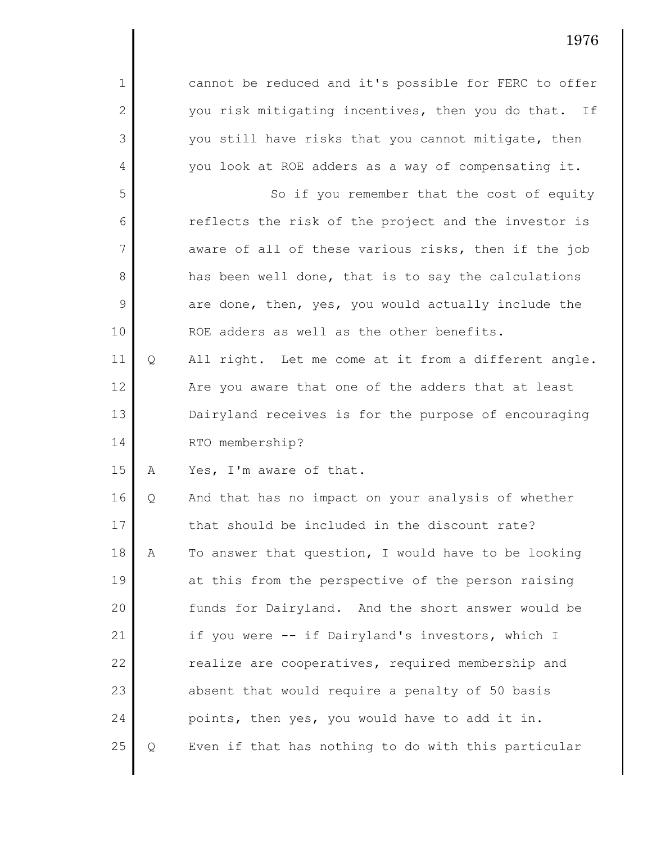| $\mathbf{1}$ |   | cannot be reduced and it's possible for FERC to offer |
|--------------|---|-------------------------------------------------------|
| $\mathbf{2}$ |   | you risk mitigating incentives, then you do that. If  |
| 3            |   | you still have risks that you cannot mitigate, then   |
| 4            |   | you look at ROE adders as a way of compensating it.   |
| 5            |   | So if you remember that the cost of equity            |
| 6            |   | reflects the risk of the project and the investor is  |
| 7            |   | aware of all of these various risks, then if the job  |
| 8            |   | has been well done, that is to say the calculations   |
| 9            |   | are done, then, yes, you would actually include the   |
| 10           |   | ROE adders as well as the other benefits.             |
| 11           | Q | All right. Let me come at it from a different angle.  |
| 12           |   | Are you aware that one of the adders that at least    |
| 13           |   | Dairyland receives is for the purpose of encouraging  |
| 14           |   | RTO membership?                                       |
| 15           | Α | Yes, I'm aware of that.                               |
| 16           | Q | And that has no impact on your analysis of whether    |
| 17           |   | that should be included in the discount rate?         |
| 18           | Α | To answer that question, I would have to be looking   |
| 19           |   | at this from the perspective of the person raising    |
| 20           |   | funds for Dairyland. And the short answer would be    |
| 21           |   | if you were -- if Dairyland's investors, which I      |
| 22           |   | realize are cooperatives, required membership and     |
| 23           |   | absent that would require a penalty of 50 basis       |
| 24           |   | points, then yes, you would have to add it in.        |
| 25           | Q | Even if that has nothing to do with this particular   |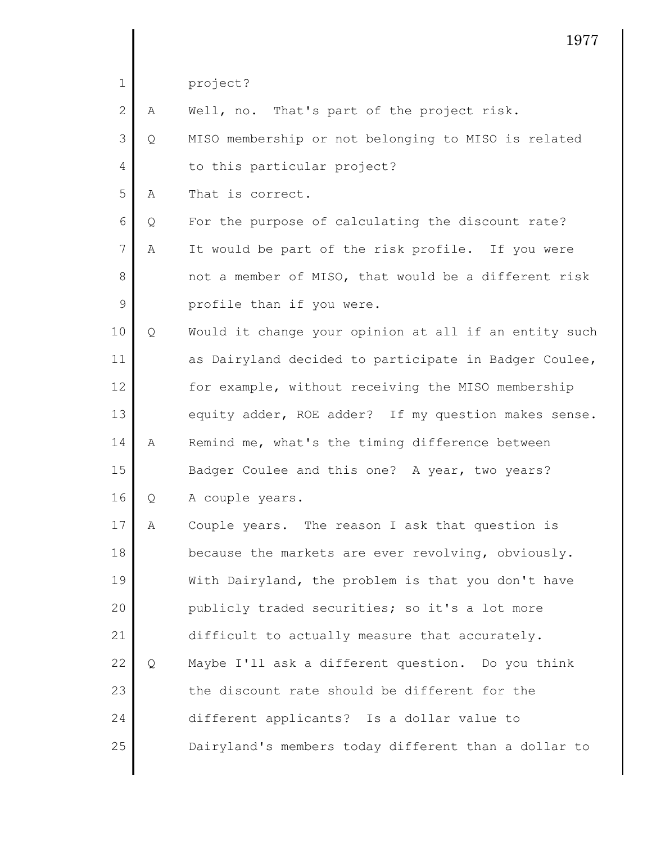|              |   | 1977                                                  |
|--------------|---|-------------------------------------------------------|
| $\mathbf 1$  |   | project?                                              |
| $\mathbf{2}$ | Α | Well, no. That's part of the project risk.            |
| 3            | Q | MISO membership or not belonging to MISO is related   |
| 4            |   | to this particular project?                           |
| 5            | Α | That is correct.                                      |
| 6            | Q | For the purpose of calculating the discount rate?     |
| 7            | Α | It would be part of the risk profile. If you were     |
| $\,8\,$      |   | not a member of MISO, that would be a different risk  |
| 9            |   | profile than if you were.                             |
| 10           | Q | Would it change your opinion at all if an entity such |
| 11           |   | as Dairyland decided to participate in Badger Coulee, |
| 12           |   | for example, without receiving the MISO membership    |
| 13           |   | equity adder, ROE adder? If my question makes sense.  |
| 14           | Α | Remind me, what's the timing difference between       |
| 15           |   | Badger Coulee and this one? A year, two years?        |
| 16           | Q | A couple years.                                       |
| 17           | Α | Couple years. The reason I ask that question is       |
| 18           |   | because the markets are ever revolving, obviously.    |
| 19           |   | With Dairyland, the problem is that you don't have    |
| 20           |   | publicly traded securities; so it's a lot more        |
| 21           |   | difficult to actually measure that accurately.        |
| 22           | Q | Maybe I'll ask a different question. Do you think     |
| 23           |   | the discount rate should be different for the         |
| 24           |   | different applicants? Is a dollar value to            |
| 25           |   | Dairyland's members today different than a dollar to  |
|              |   |                                                       |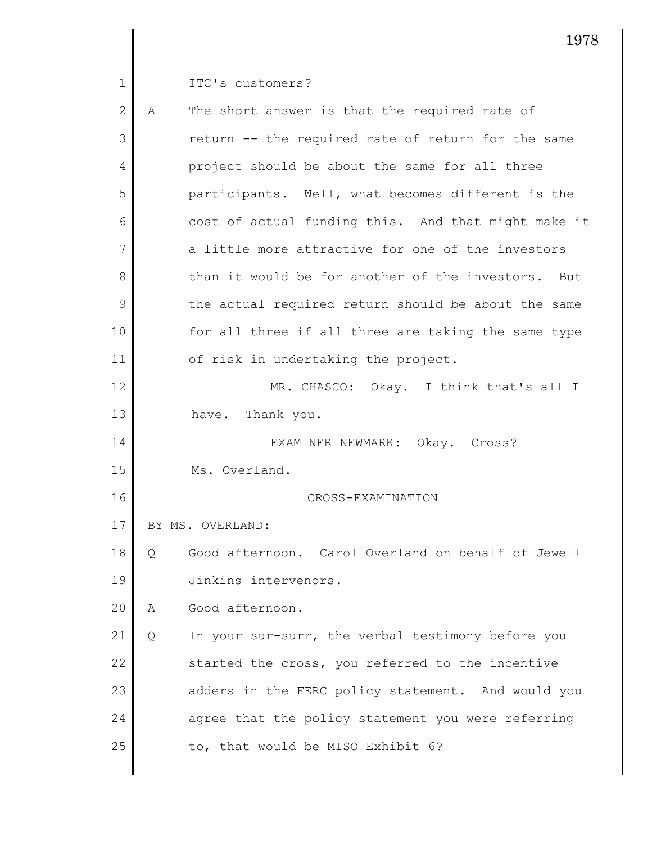$\parallel$ 

ITC's customers?

| $\overline{2}$ | Α | The short answer is that the required rate of         |
|----------------|---|-------------------------------------------------------|
| 3              |   | return -- the required rate of return for the same    |
| 4              |   | project should be about the same for all three        |
| 5              |   | participants. Well, what becomes different is the     |
| 6              |   | cost of actual funding this. And that might make it   |
| 7              |   | a little more attractive for one of the investors     |
| 8              |   | than it would be for another of the investors.<br>But |
| 9              |   | the actual required return should be about the same   |
| 10             |   | for all three if all three are taking the same type   |
| 11             |   | of risk in undertaking the project.                   |
| 12             |   | MR. CHASCO: Okay. I think that's all I                |
| 13             |   | have. Thank you.                                      |
| 14             |   | EXAMINER NEWMARK: Okay. Cross?                        |
| 15             |   | Ms. Overland.                                         |
| 16             |   | CROSS-EXAMINATION                                     |
| 17             |   | BY MS. OVERLAND:                                      |
| 18             | Q | Good afternoon. Carol Overland on behalf of Jewell    |
| 19             |   | Jinkins intervenors.                                  |
| 20             | Α | Good afternoon.                                       |
| 21             | Q | In your sur-surr, the verbal testimony before you     |
| 22             |   | started the cross, you referred to the incentive      |
| 23             |   | adders in the FERC policy statement. And would you    |
| 24             |   | agree that the policy statement you were referring    |
| 25             |   | to, that would be MISO Exhibit 6?                     |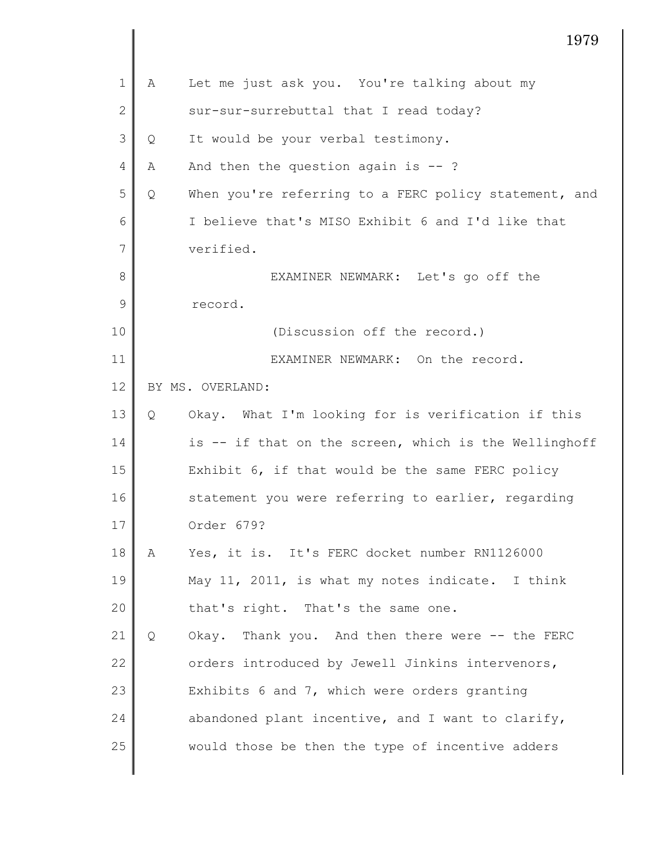|              |   | 1979                                                  |
|--------------|---|-------------------------------------------------------|
| $\mathbf{1}$ | Α | Let me just ask you. You're talking about my          |
| $\mathbf{2}$ |   | sur-sur-surrebuttal that I read today?                |
| 3            | Q | It would be your verbal testimony.                    |
| 4            | Α | And then the question again is $-$ ?                  |
| 5            | Q | When you're referring to a FERC policy statement, and |
| 6            |   | I believe that's MISO Exhibit 6 and I'd like that     |
| 7            |   | verified.                                             |
| 8            |   | EXAMINER NEWMARK: Let's go off the                    |
| 9            |   | record.                                               |
| 10           |   | (Discussion off the record.)                          |
| 11           |   | EXAMINER NEWMARK: On the record.                      |
| 12           |   | BY MS. OVERLAND:                                      |
| 13           | Q | Okay. What I'm looking for is verification if this    |
| 14           |   | is -- if that on the screen, which is the Wellinghoff |
| 15           |   | Exhibit 6, if that would be the same FERC policy      |
| 16           |   | statement you were referring to earlier, regarding    |
| 17           |   | Order 679?                                            |
| 18           | A | Yes, it is. It's FERC docket number RN1126000         |
| 19           |   | May 11, 2011, is what my notes indicate. I think      |
| 20           |   | that's right. That's the same one.                    |
| 21           | Q | Okay. Thank you. And then there were -- the FERC      |
| 22           |   | orders introduced by Jewell Jinkins intervenors,      |
| 23           |   | Exhibits 6 and 7, which were orders granting          |
| 24           |   | abandoned plant incentive, and I want to clarify,     |
| 25           |   | would those be then the type of incentive adders      |
|              |   |                                                       |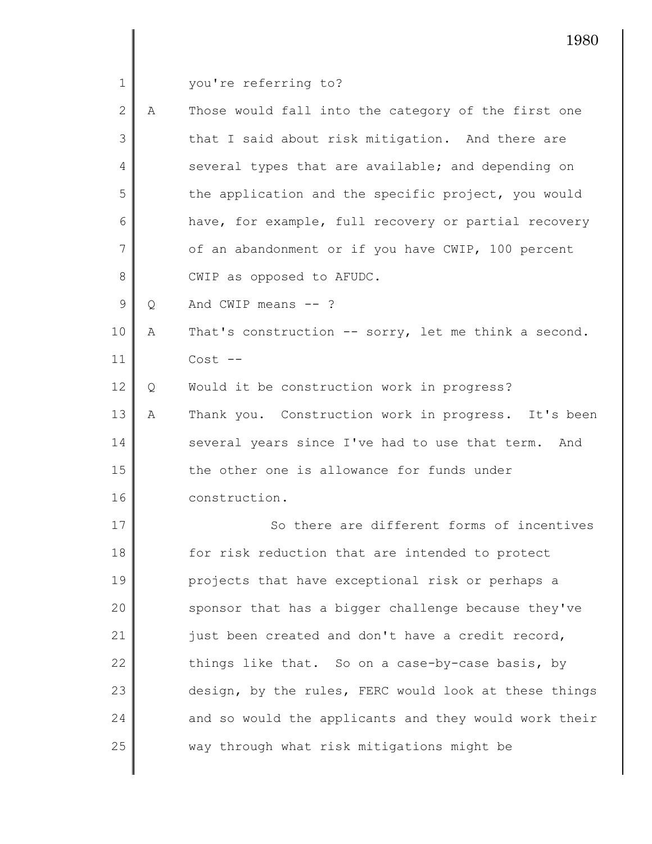|  |  | you're referring to? |  |
|--|--|----------------------|--|
|--|--|----------------------|--|

| $\overline{2}$ | A | Those would fall into the category of the first one  |
|----------------|---|------------------------------------------------------|
| 3              |   | that I said about risk mitigation. And there are     |
| 4              |   | several types that are available; and depending on   |
| 5              |   | the application and the specific project, you would  |
| 6              |   | have, for example, full recovery or partial recovery |
| 7              |   | of an abandonment or if you have CWIP, 100 percent   |
| 8              |   | CWIP as opposed to AFUDC.                            |
| 9              | Q | And CWIP means $--$ ?                                |
|                |   |                                                      |

10 11 A That's construction -- sorry, let me think a second. Cost --

12 Q Would it be construction work in progress?

13 14 15 16 A Thank you. Construction work in progress. It's been several years since I've had to use that term. And the other one is allowance for funds under construction.

17 18 19 20 21 22 23 24 25 So there are different forms of incentives for risk reduction that are intended to protect projects that have exceptional risk or perhaps a sponsor that has a bigger challenge because they've just been created and don't have a credit record, things like that. So on a case-by-case basis, by design, by the rules, FERC would look at these things and so would the applicants and they would work their way through what risk mitigations might be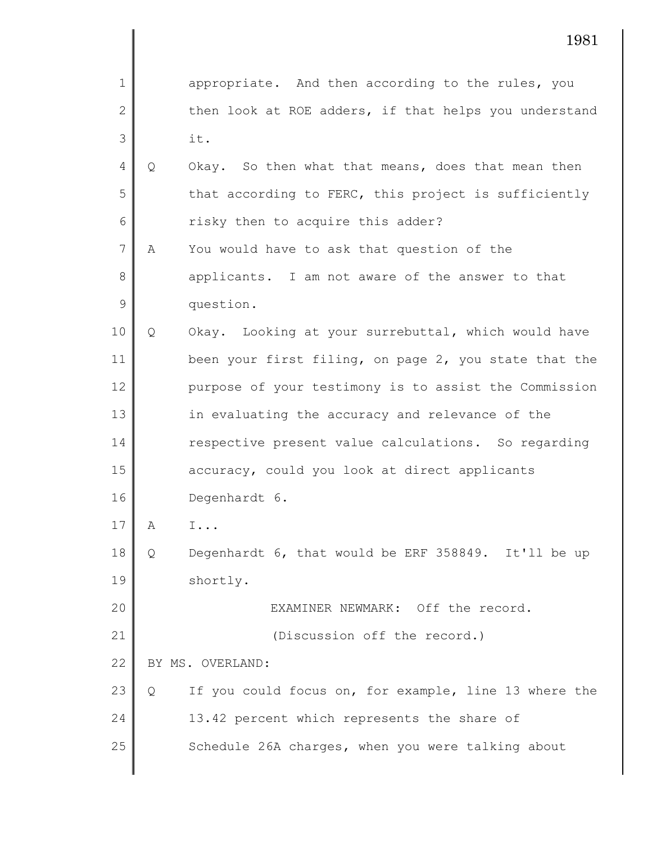1 2 3 4 5 6 7 8 9 10 11 12 13 14 15 16 17 18 19 20 21 22 23 24 25 1981 appropriate. And then according to the rules, you then look at ROE adders, if that helps you understand it. Q Okay. So then what that means, does that mean then that according to FERC, this project is sufficiently risky then to acquire this adder? A You would have to ask that question of the applicants. I am not aware of the answer to that question. Q Okay. Looking at your surrebuttal, which would have been your first filing, on page 2, you state that the purpose of your testimony is to assist the Commission in evaluating the accuracy and relevance of the respective present value calculations. So regarding accuracy, could you look at direct applicants Degenhardt 6. A I... Q Degenhardt 6, that would be ERF 358849. It'll be up shortly. EXAMINER NEWMARK: Off the record. (Discussion off the record.) BY MS. OVERLAND: Q If you could focus on, for example, line 13 where the 13.42 percent which represents the share of Schedule 26A charges, when you were talking about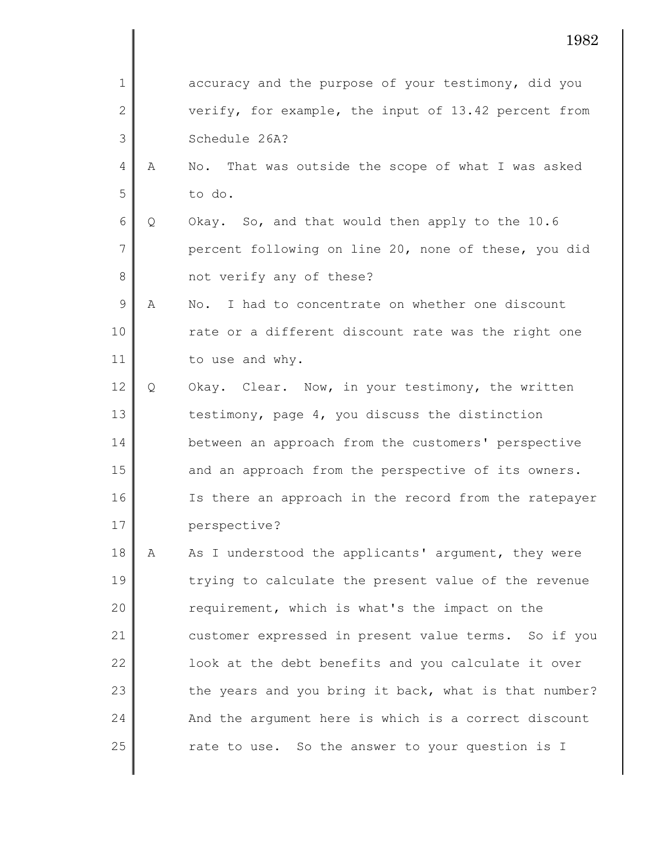|                |   | 1982                                                                         |
|----------------|---|------------------------------------------------------------------------------|
| 1              |   | accuracy and the purpose of your testimony, did you                          |
| $\mathbf{2}$   |   | verify, for example, the input of 13.42 percent from                         |
| 3              |   | Schedule 26A?                                                                |
| 4              | Α | No. That was outside the scope of what I was asked                           |
| 5              |   | to do.                                                                       |
| 6              | Q | Okay. So, and that would then apply to the 10.6                              |
| $\overline{7}$ |   | percent following on line 20, none of these, you did                         |
| 8              |   | not verify any of these?                                                     |
| 9              | A | I had to concentrate on whether one discount<br>$\mathop{\rm No}\nolimits$ . |
| 10             |   | rate or a different discount rate was the right one                          |
| 11             |   | to use and why.                                                              |
| 12             | Q | Okay. Clear. Now, in your testimony, the written                             |
| 13             |   | testimony, page 4, you discuss the distinction                               |
| 14             |   | between an approach from the customers' perspective                          |
| 15             |   | and an approach from the perspective of its owners.                          |
| 16             |   | Is there an approach in the record from the ratepayer                        |
| 17             |   | perspective?                                                                 |
| 18             | A | As I understood the applicants' argument, they were                          |
| 19             |   | trying to calculate the present value of the revenue                         |
| 20             |   | requirement, which is what's the impact on the                               |
| 21             |   | customer expressed in present value terms. So if you                         |
| 22             |   | look at the debt benefits and you calculate it over                          |
| 23             |   | the years and you bring it back, what is that number?                        |
| 24             |   | And the argument here is which is a correct discount                         |
| 25             |   | rate to use. So the answer to your question is I                             |

 $\mathsf{l}$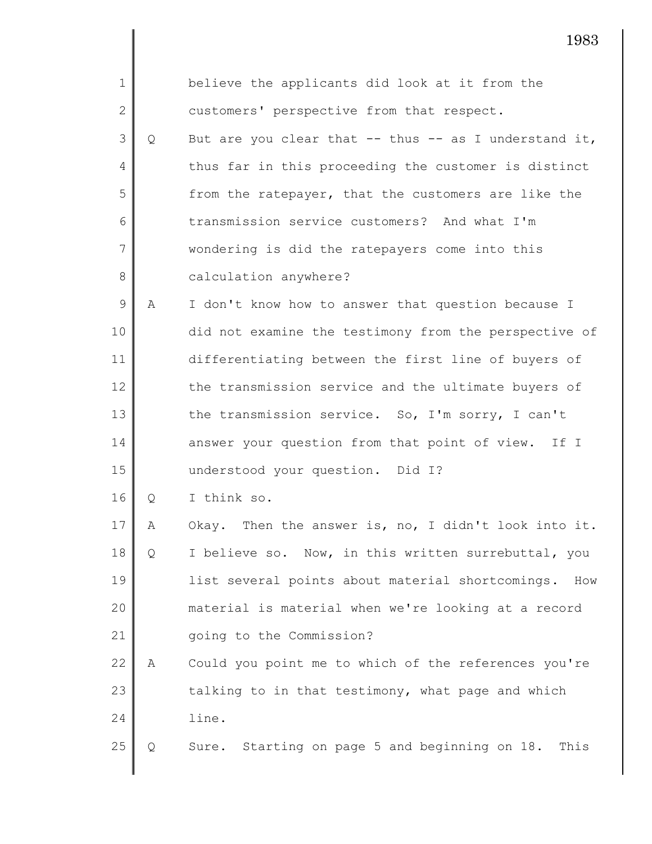| $\mathbf 1$    |   | believe the applicants did look at it from the          |
|----------------|---|---------------------------------------------------------|
| 2              |   | customers' perspective from that respect.               |
| 3              | Q | But are you clear that -- thus -- as I understand it,   |
| $\overline{4}$ |   | thus far in this proceeding the customer is distinct    |
| 5              |   | from the ratepayer, that the customers are like the     |
| 6              |   | transmission service customers? And what I'm            |
| $\overline{7}$ |   | wondering is did the ratepayers come into this          |
| 8              |   | calculation anywhere?                                   |
| $\mathsf 9$    | Α | I don't know how to answer that question because I      |
| 10             |   | did not examine the testimony from the perspective of   |
| 11             |   | differentiating between the first line of buyers of     |
| 12             |   | the transmission service and the ultimate buyers of     |
| 13             |   | the transmission service. So, I'm sorry, I can't        |
| 14             |   | answer your question from that point of view. If I      |
| 15             |   | understood your question. Did I?                        |
| 16             | Q | I think so.                                             |
| 17             | Α | Okay. Then the answer is, no, I didn't look into it.    |
| 18             | Q | I believe so. Now, in this written surrebuttal, you     |
| 19             |   | list several points about material shortcomings.<br>How |
| 20             |   | material is material when we're looking at a record     |
| 21             |   | going to the Commission?                                |
| 22             | Α | Could you point me to which of the references you're    |
| 23             |   | talking to in that testimony, what page and which       |
| 24             |   | line.                                                   |
| 25             | Q | Sure. Starting on page 5 and beginning on 18. This      |
|                |   |                                                         |

I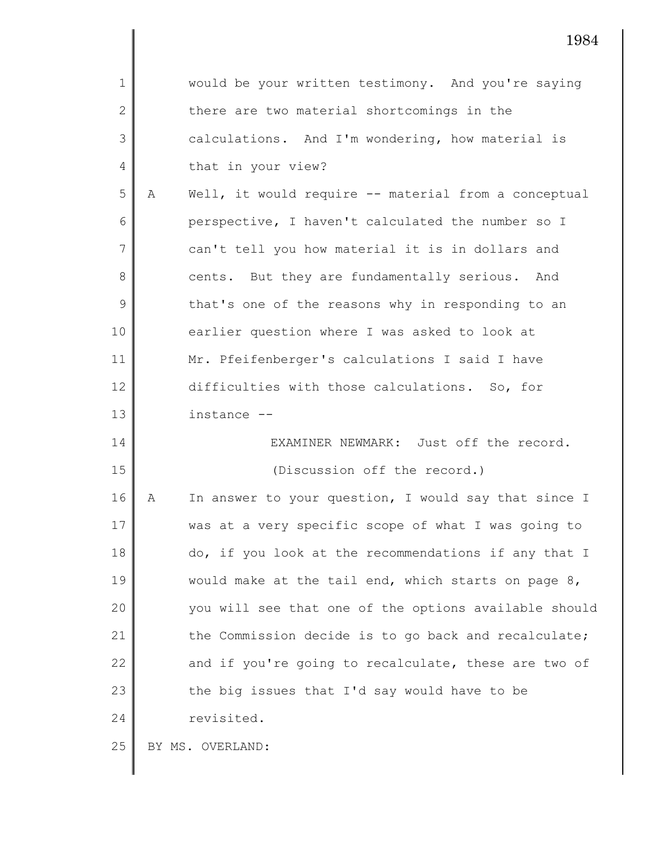|              |   | 1984                                                  |
|--------------|---|-------------------------------------------------------|
| 1            |   | would be your written testimony. And you're saying    |
| $\mathbf{2}$ |   | there are two material shortcomings in the            |
| 3            |   | calculations. And I'm wondering, how material is      |
| 4            |   | that in your view?                                    |
| 5            | Α | Well, it would require -- material from a conceptual  |
| 6            |   | perspective, I haven't calculated the number so I     |
| 7            |   | can't tell you how material it is in dollars and      |
| 8            |   | cents. But they are fundamentally serious. And        |
| 9            |   | that's one of the reasons why in responding to an     |
| 10           |   | earlier question where I was asked to look at         |
| 11           |   | Mr. Pfeifenberger's calculations I said I have        |
| 12           |   | difficulties with those calculations. So, for         |
| 13           |   | instance --                                           |
| 14           |   | EXAMINER NEWMARK: Just off the record.                |
| 15           |   | (Discussion off the record.)                          |
| 16           | Α | In answer to your question, I would say that since I  |
| 17           |   | was at a very specific scope of what I was going to   |
| 18           |   | do, if you look at the recommendations if any that I  |
| 19           |   | would make at the tail end, which starts on page 8,   |
| 20           |   | you will see that one of the options available should |
| 21           |   | the Commission decide is to go back and recalculate;  |
| 22           |   | and if you're going to recalculate, these are two of  |
| 23           |   | the big issues that I'd say would have to be          |
| 24           |   | revisited.                                            |
| 25           |   | BY MS. OVERLAND:                                      |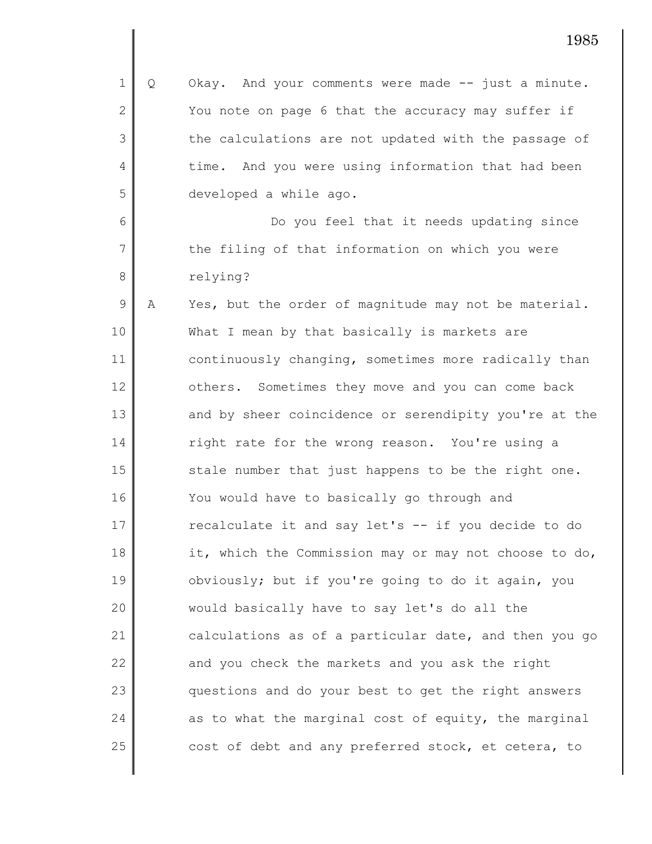1 2 3 4 5 6 7 8 9 10 11 12 13 14 15 16 17 18 19 20 21 22 23 24 25 Q Okay. And your comments were made -- just a minute. You note on page 6 that the accuracy may suffer if the calculations are not updated with the passage of time. And you were using information that had been developed a while ago. Do you feel that it needs updating since the filing of that information on which you were relying? A Yes, but the order of magnitude may not be material. What I mean by that basically is markets are continuously changing, sometimes more radically than others. Sometimes they move and you can come back and by sheer coincidence or serendipity you're at the right rate for the wrong reason. You're using a stale number that just happens to be the right one. You would have to basically go through and recalculate it and say let's -- if you decide to do it, which the Commission may or may not choose to do, obviously; but if you're going to do it again, you would basically have to say let's do all the calculations as of a particular date, and then you go and you check the markets and you ask the right questions and do your best to get the right answers as to what the marginal cost of equity, the marginal cost of debt and any preferred stock, et cetera, to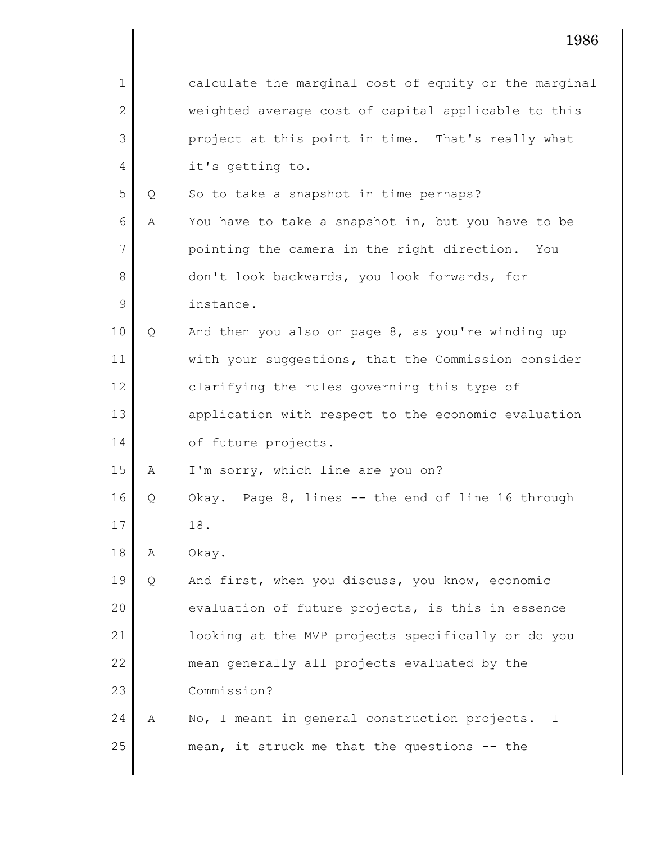| $\mathbf 1$   |   | calculate the marginal cost of equity or the marginal |
|---------------|---|-------------------------------------------------------|
| $\mathbf{2}$  |   | weighted average cost of capital applicable to this   |
| 3             |   | project at this point in time. That's really what     |
| 4             |   | it's getting to.                                      |
| 5             | Q | So to take a snapshot in time perhaps?                |
| 6             | A | You have to take a snapshot in, but you have to be    |
| 7             |   | pointing the camera in the right direction. You       |
| 8             |   | don't look backwards, you look forwards, for          |
| $\mathcal{G}$ |   | instance.                                             |
| 10            | Q | And then you also on page 8, as you're winding up     |
| 11            |   | with your suggestions, that the Commission consider   |
| 12            |   | clarifying the rules governing this type of           |
| 13            |   | application with respect to the economic evaluation   |
| 14            |   | of future projects.                                   |
| 15            | Α | I'm sorry, which line are you on?                     |
| 16            | Q | Okay. Page 8, lines -- the end of line 16 through     |
| 17            |   | 18.                                                   |
| 18            | Α | Okay.                                                 |
| 19            | Q | And first, when you discuss, you know, economic       |
| 20            |   | evaluation of future projects, is this in essence     |
| 21            |   | looking at the MVP projects specifically or do you    |
| 22            |   | mean generally all projects evaluated by the          |
| 23            |   | Commission?                                           |
| 24            | Α | No, I meant in general construction projects.<br>T    |
| 25            |   | mean, it struck me that the questions -- the          |
|               |   |                                                       |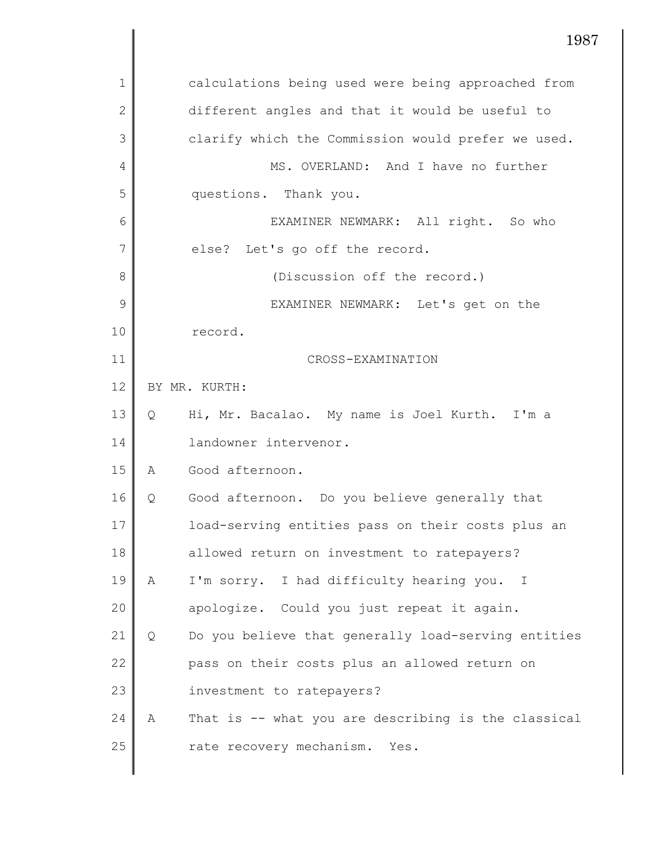|                |   | 198                                                      |
|----------------|---|----------------------------------------------------------|
| 1              |   | calculations being used were being approached from       |
| $\overline{2}$ |   | different angles and that it would be useful to          |
| 3              |   | clarify which the Commission would prefer we used.       |
| 4              |   | MS. OVERLAND: And I have no further                      |
| 5              |   | questions. Thank you.                                    |
| 6              |   | EXAMINER NEWMARK: All right. So who                      |
| 7              |   | else? Let's go off the record.                           |
| 8              |   | (Discussion off the record.)                             |
| 9              |   | EXAMINER NEWMARK: Let's get on the                       |
| 10             |   | record.                                                  |
| 11             |   | CROSS-EXAMINATION                                        |
| 12             |   | BY MR. KURTH:                                            |
| 13             | Q | Hi, Mr. Bacalao. My name is Joel Kurth. I'm a            |
| 14             |   | landowner intervenor.                                    |
| 15             | Α | Good afternoon.                                          |
| 16             | Q | Good afternoon. Do you believe generally that            |
| 17             |   | load-serving entities pass on their costs plus an        |
| 18             |   | allowed return on investment to ratepayers?              |
| 19             | А | I'm sorry. I had difficulty hearing you.<br>$\mathbf{I}$ |
| 20             |   | apologize. Could you just repeat it again.               |
| 21             | Q | Do you believe that generally load-serving entities      |
| 22             |   | pass on their costs plus an allowed return on            |
| 23             |   | investment to ratepayers?                                |
| 24             | Α | That is -- what you are describing is the classical      |
| 25             |   | rate recovery mechanism. Yes.                            |

 $\mathsf{l}$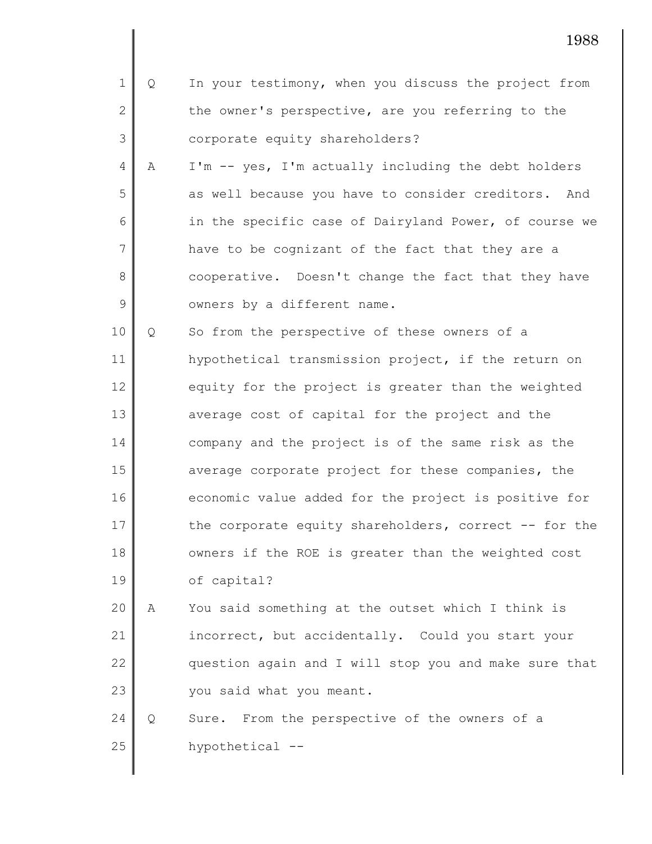| $\mathbf 1$    | Q | In your testimony, when you discuss the project from  |
|----------------|---|-------------------------------------------------------|
| $\mathbf{2}$   |   | the owner's perspective, are you referring to the     |
| 3              |   | corporate equity shareholders?                        |
| $\overline{4}$ | Α | I'm -- yes, I'm actually including the debt holders   |
| 5              |   | as well because you have to consider creditors. And   |
| 6              |   | in the specific case of Dairyland Power, of course we |
| $\overline{7}$ |   | have to be cognizant of the fact that they are a      |
| 8              |   | cooperative. Doesn't change the fact that they have   |
| 9              |   | owners by a different name.                           |
| 10             | Q | So from the perspective of these owners of a          |
| 11             |   | hypothetical transmission project, if the return on   |
| 12             |   | equity for the project is greater than the weighted   |
| 13             |   | average cost of capital for the project and the       |
| 14             |   | company and the project is of the same risk as the    |
| 15             |   | average corporate project for these companies, the    |
| 16             |   | economic value added for the project is positive for  |
| 17             |   | the corporate equity shareholders, correct -- for the |
| 18             |   | owners if the ROE is greater than the weighted cost   |
| 19             |   | of capital?                                           |
| 20             | Α | You said something at the outset which I think is     |
| 21             |   | incorrect, but accidentally. Could you start your     |
| 22             |   | question again and I will stop you and make sure that |
| 23             |   | you said what you meant.                              |
| 24             | Q | From the perspective of the owners of a<br>Sure.      |

25 hypothetical --

 $\mathsf{l}$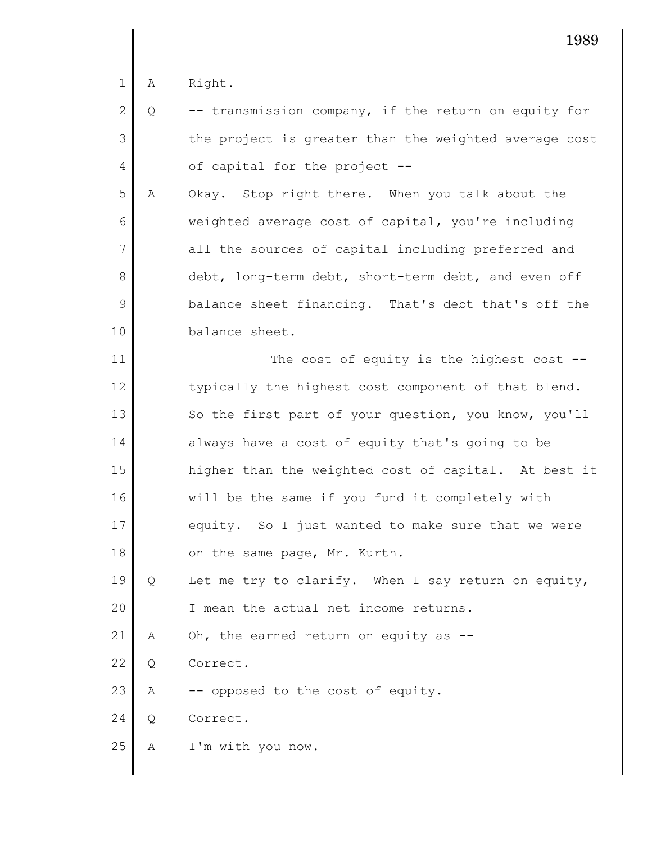1 A Right.

|                | $2 \parallel Q$ | -- transmission company, if the return on equity for  |
|----------------|-----------------|-------------------------------------------------------|
| 3 <sup>1</sup> |                 | the project is greater than the weighted average cost |
| $4 \mid$       |                 | of capital for the project --                         |

5 6 7 8 9 10 A Okay. Stop right there. When you talk about the weighted average cost of capital, you're including all the sources of capital including preferred and debt, long-term debt, short-term debt, and even off balance sheet financing. That's debt that's off the balance sheet.

11 12 13 14 15 16 17 18 19 20 21 22 23 24 The cost of equity is the highest cost -typically the highest cost component of that blend. So the first part of your question, you know, you'll always have a cost of equity that's going to be higher than the weighted cost of capital. At best it will be the same if you fund it completely with equity. So I just wanted to make sure that we were on the same page, Mr. Kurth. Q Let me try to clarify. When I say return on equity, I mean the actual net income returns. A Oh, the earned return on equity as -- Q Correct. A -- opposed to the cost of equity. Q Correct.

25 A I'm with you now.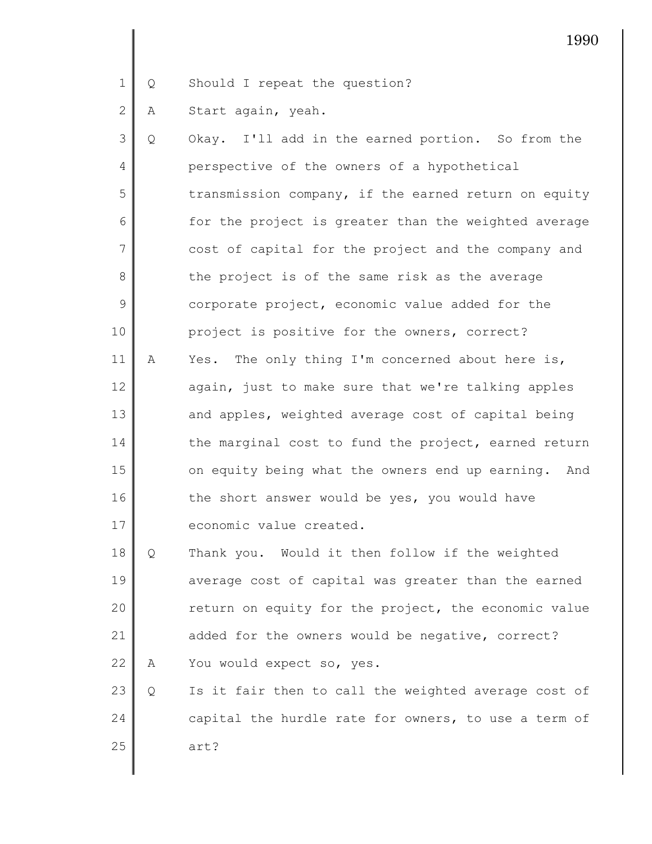1 Q Should I repeat the question?

2 A Start again, yeah.

3 4 5 6 7 8 9 10 11 12 13 14 15 16 17 18 Q Okay. I'll add in the earned portion. So from the perspective of the owners of a hypothetical transmission company, if the earned return on equity for the project is greater than the weighted average cost of capital for the project and the company and the project is of the same risk as the average corporate project, economic value added for the project is positive for the owners, correct? A Yes. The only thing I'm concerned about here is, again, just to make sure that we're talking apples and apples, weighted average cost of capital being the marginal cost to fund the project, earned return on equity being what the owners end up earning. And the short answer would be yes, you would have economic value created. Q Thank you. Would it then follow if the weighted

19 20 21 22 average cost of capital was greater than the earned return on equity for the project, the economic value added for the owners would be negative, correct? A You would expect so, yes.

23 24 25 Q Is it fair then to call the weighted average cost of capital the hurdle rate for owners, to use a term of art?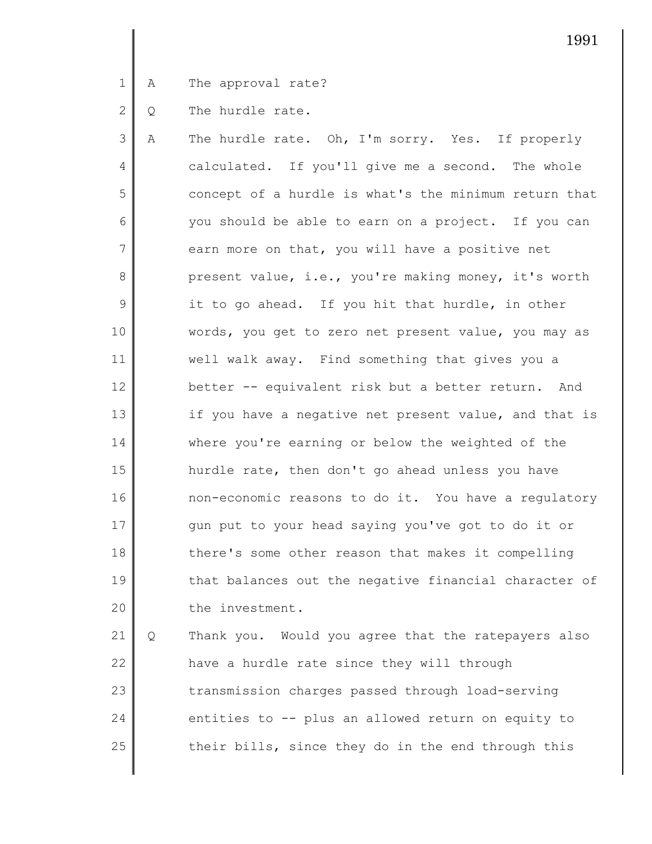1 A The approval rate?

2 Q The hurdle rate.

3 4 5 6 7 8 9 10 11 12 13 14 15 16 17 18 19 20 A The hurdle rate. Oh, I'm sorry. Yes. If properly calculated. If you'll give me a second. The whole concept of a hurdle is what's the minimum return that you should be able to earn on a project. If you can earn more on that, you will have a positive net present value, i.e., you're making money, it's worth it to go ahead. If you hit that hurdle, in other words, you get to zero net present value, you may as well walk away. Find something that gives you a better -- equivalent risk but a better return. And if you have a negative net present value, and that is where you're earning or below the weighted of the hurdle rate, then don't go ahead unless you have non-economic reasons to do it. You have a regulatory gun put to your head saying you've got to do it or there's some other reason that makes it compelling that balances out the negative financial character of the investment.

21 22 23 24 25 Q Thank you. Would you agree that the ratepayers also have a hurdle rate since they will through transmission charges passed through load-serving entities to -- plus an allowed return on equity to their bills, since they do in the end through this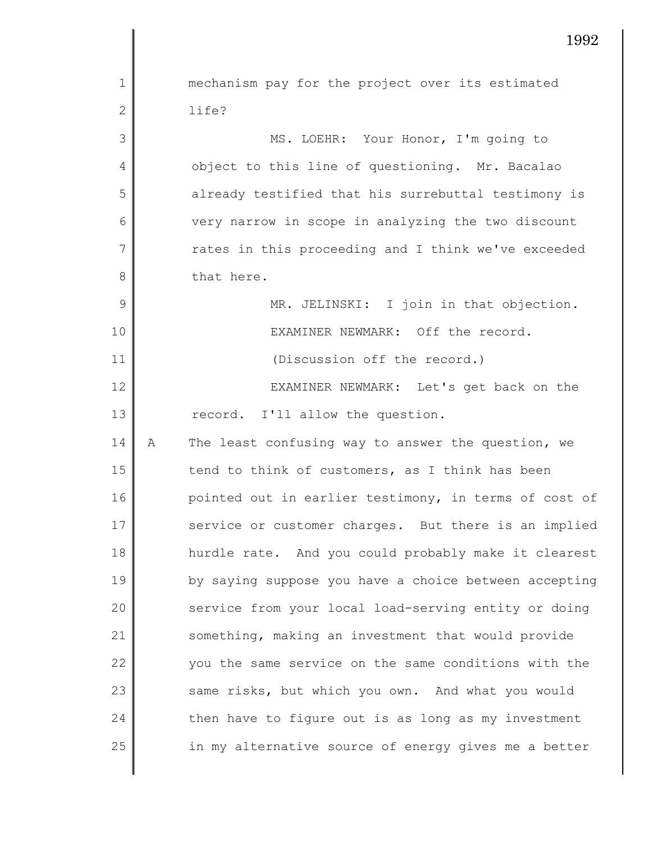1 2 3 4 5 6 7 8 9 10 11 12 13 14 15 16 17 18 19 20 21 22 23 24 25 mechanism pay for the project over its estimated life? MS. LOEHR: Your Honor, I'm going to object to this line of questioning. Mr. Bacalao already testified that his surrebuttal testimony is very narrow in scope in analyzing the two discount rates in this proceeding and I think we've exceeded that here. MR. JELINSKI: I join in that objection. EXAMINER NEWMARK: Off the record. (Discussion off the record.) EXAMINER NEWMARK: Let's get back on the record. I'll allow the question. A The least confusing way to answer the question, we tend to think of customers, as I think has been pointed out in earlier testimony, in terms of cost of service or customer charges. But there is an implied hurdle rate. And you could probably make it clearest by saying suppose you have a choice between accepting service from your local load-serving entity or doing something, making an investment that would provide you the same service on the same conditions with the same risks, but which you own. And what you would then have to figure out is as long as my investment in my alternative source of energy gives me a better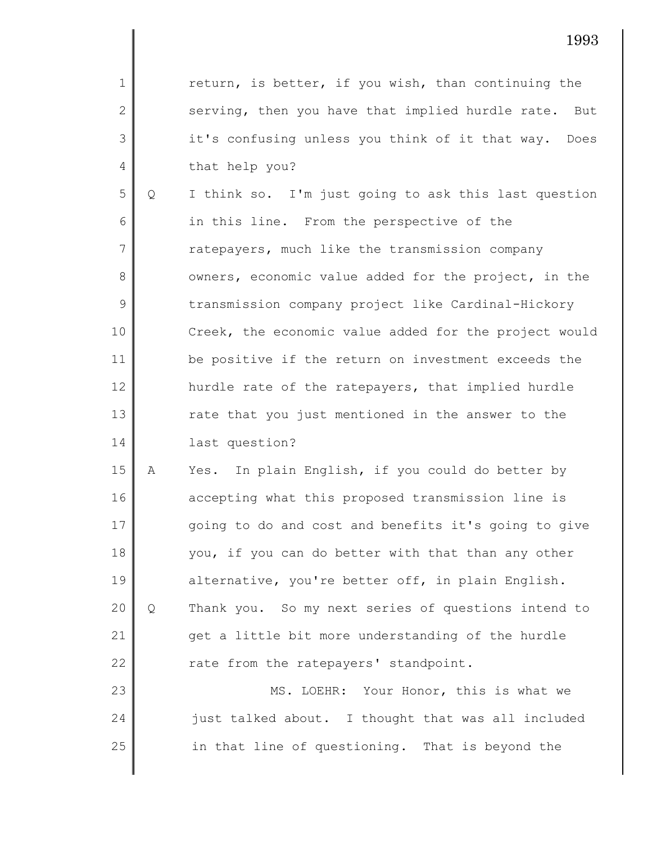return, is better, if you wish, than continuing the serving, then you have that implied hurdle rate. But it's confusing unless you think of it that way. Does that help you?

1

2

3

4

5 6 7 8 9 10 11 12 13 14 Q I think so. I'm just going to ask this last question in this line. From the perspective of the ratepayers, much like the transmission company owners, economic value added for the project, in the transmission company project like Cardinal-Hickory Creek, the economic value added for the project would be positive if the return on investment exceeds the hurdle rate of the ratepayers, that implied hurdle rate that you just mentioned in the answer to the last question?

15 16 17 18 19 20 21 22 A Yes. In plain English, if you could do better by accepting what this proposed transmission line is going to do and cost and benefits it's going to give you, if you can do better with that than any other alternative, you're better off, in plain English. Q Thank you. So my next series of questions intend to get a little bit more understanding of the hurdle rate from the ratepayers' standpoint.

23 24 25 MS. LOEHR: Your Honor, this is what we just talked about. I thought that was all included in that line of questioning. That is beyond the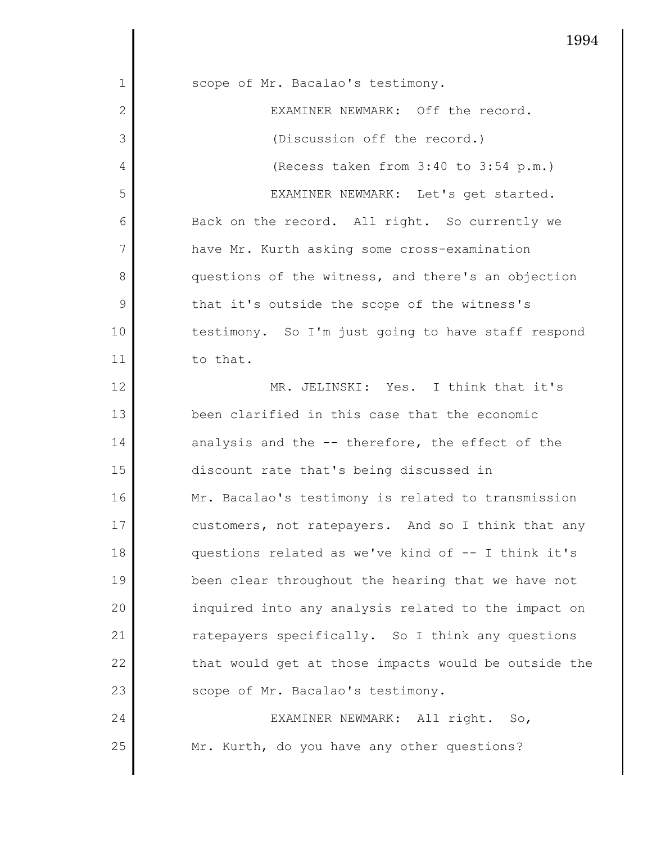|                | エレヘコ                                                 |
|----------------|------------------------------------------------------|
| 1              | scope of Mr. Bacalao's testimony.                    |
| 2              | EXAMINER NEWMARK: Off the record.                    |
| 3              | (Discussion off the record.)                         |
| 4              | (Recess taken from 3:40 to 3:54 p.m.)                |
| 5              | EXAMINER NEWMARK: Let's get started.                 |
| 6              | Back on the record. All right. So currently we       |
| $\overline{7}$ | have Mr. Kurth asking some cross-examination         |
| 8              | questions of the witness, and there's an objection   |
| 9              | that it's outside the scope of the witness's         |
| 10             | testimony. So I'm just going to have staff respond   |
| 11             | to that.                                             |
| 12             | MR. JELINSKI: Yes. I think that it's                 |
| 13             | been clarified in this case that the economic        |
| 14             | analysis and the -- therefore, the effect of the     |
| 15             | discount rate that's being discussed in              |
| 16             | Mr. Bacalao's testimony is related to transmission   |
| 17             | customers, not ratepayers. And so I think that any   |
| 18             | questions related as we've kind of -- I think it's   |
| 19             | been clear throughout the hearing that we have not   |
| 20             | inquired into any analysis related to the impact on  |
| 21             | ratepayers specifically. So I think any questions    |
| 22             | that would get at those impacts would be outside the |
| 23             | scope of Mr. Bacalao's testimony.                    |
| 24             | EXAMINER NEWMARK: All right. So,                     |
| 25             | Mr. Kurth, do you have any other questions?          |

 $\mathbf l$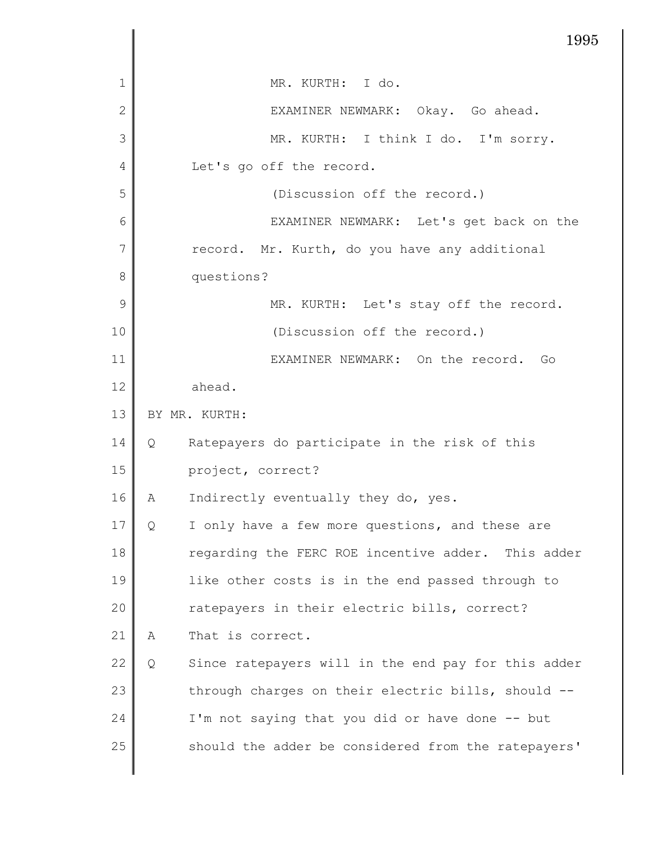|                | 1995                                                     |
|----------------|----------------------------------------------------------|
| 1              | MR. KURTH: I do.                                         |
| $\overline{2}$ | EXAMINER NEWMARK: Okay. Go ahead.                        |
| 3              | MR. KURTH: I think I do. I'm sorry.                      |
| 4              | Let's go off the record.                                 |
| 5              | (Discussion off the record.)                             |
| 6              | EXAMINER NEWMARK: Let's get back on the                  |
| 7              | record. Mr. Kurth, do you have any additional            |
| 8              | questions?                                               |
| 9              | MR. KURTH: Let's stay off the record.                    |
| 10             | (Discussion off the record.)                             |
| 11             | EXAMINER NEWMARK: On the record.<br>Go                   |
| 12             | ahead.                                                   |
| 13             | BY MR. KURTH:                                            |
| 14             | Ratepayers do participate in the risk of this<br>Q       |
| 15             | project, correct?                                        |
| 16             | Indirectly eventually they do, yes.<br>Α                 |
| 17             | I only have a few more questions, and these are<br>Q     |
| 18             | regarding the FERC ROE incentive adder. This adder       |
| 19             | like other costs is in the end passed through to         |
| 20             | ratepayers in their electric bills, correct?             |
| 21             | That is correct.<br>Α                                    |
| 22             | Since ratepayers will in the end pay for this adder<br>Q |
| 23             | through charges on their electric bills, should --       |
| 24             | I'm not saying that you did or have done -- but          |
| 25             | should the adder be considered from the ratepayers'      |
|                |                                                          |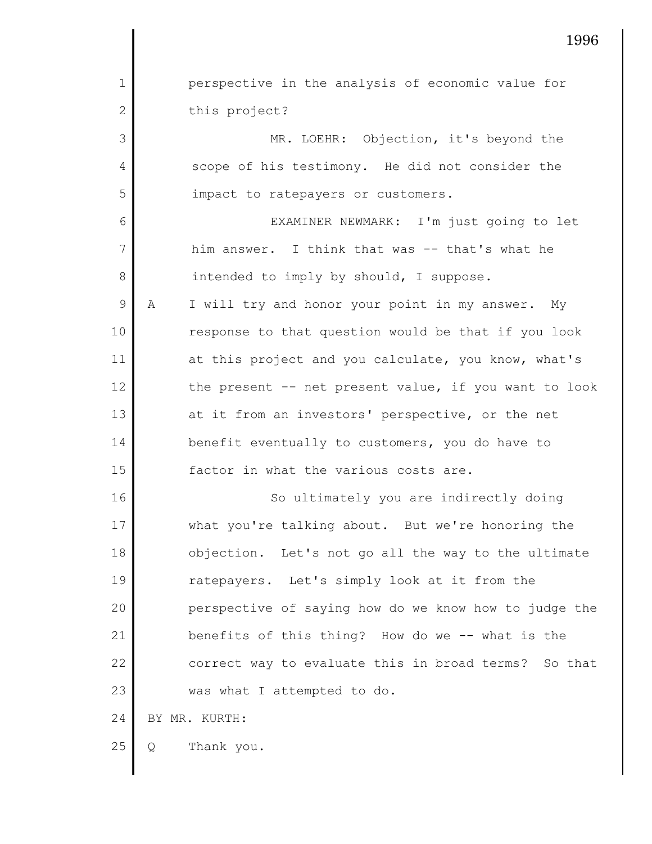1 2 3 4 5 6 7 8 9 10 11 12 13 14 15 16 17 18 19 20 21 22 23 24 25 perspective in the analysis of economic value for this project? MR. LOEHR: Objection, it's beyond the scope of his testimony. He did not consider the impact to ratepayers or customers. EXAMINER NEWMARK: I'm just going to let him answer. I think that was -- that's what he intended to imply by should, I suppose. A I will try and honor your point in my answer. My response to that question would be that if you look at this project and you calculate, you know, what's the present -- net present value, if you want to look at it from an investors' perspective, or the net benefit eventually to customers, you do have to factor in what the various costs are. So ultimately you are indirectly doing what you're talking about. But we're honoring the objection. Let's not go all the way to the ultimate ratepayers. Let's simply look at it from the perspective of saying how do we know how to judge the benefits of this thing? How do we -- what is the correct way to evaluate this in broad terms? So that was what I attempted to do. BY MR. KURTH: Q Thank you.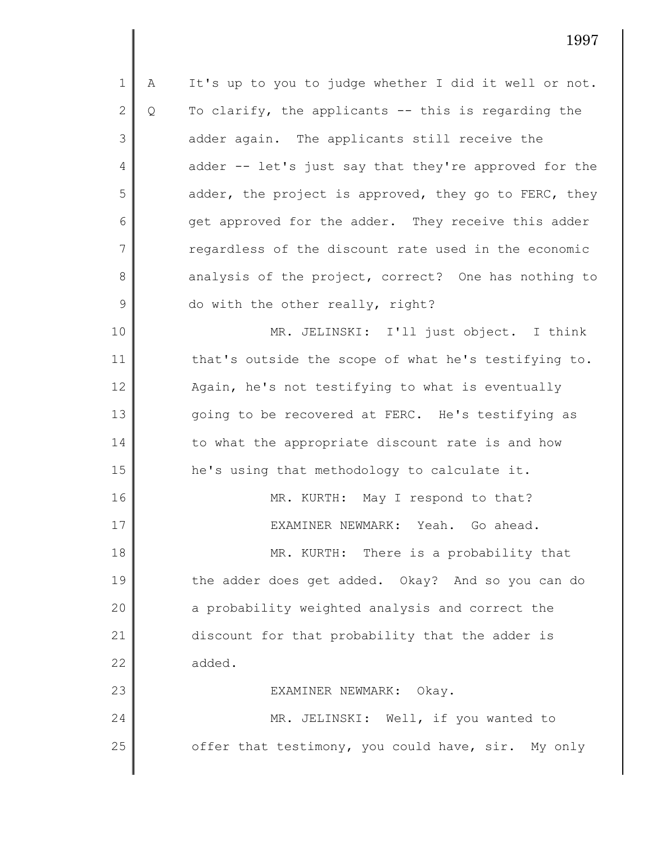1 2 3 4 5 6 7 8 9 10 A It's up to you to judge whether I did it well or not. Q To clarify, the applicants -- this is regarding the adder again. The applicants still receive the adder -- let's just say that they're approved for the adder, the project is approved, they go to FERC, they get approved for the adder. They receive this adder regardless of the discount rate used in the economic analysis of the project, correct? One has nothing to do with the other really, right? MR. JELINSKI: I'll just object. I think

11 12 13 14 15 16 17 18 19 20 that's outside the scope of what he's testifying to. Again, he's not testifying to what is eventually going to be recovered at FERC. He's testifying as to what the appropriate discount rate is and how he's using that methodology to calculate it. MR. KURTH: May I respond to that? EXAMINER NEWMARK: Yeah. Go ahead. MR. KURTH: There is a probability that the adder does get added. Okay? And so you can do a probability weighted analysis and correct the

discount for that probability that the adder is added.

21

22

23 24 25 EXAMINER NEWMARK: Okay. MR. JELINSKI: Well, if you wanted to offer that testimony, you could have, sir. My only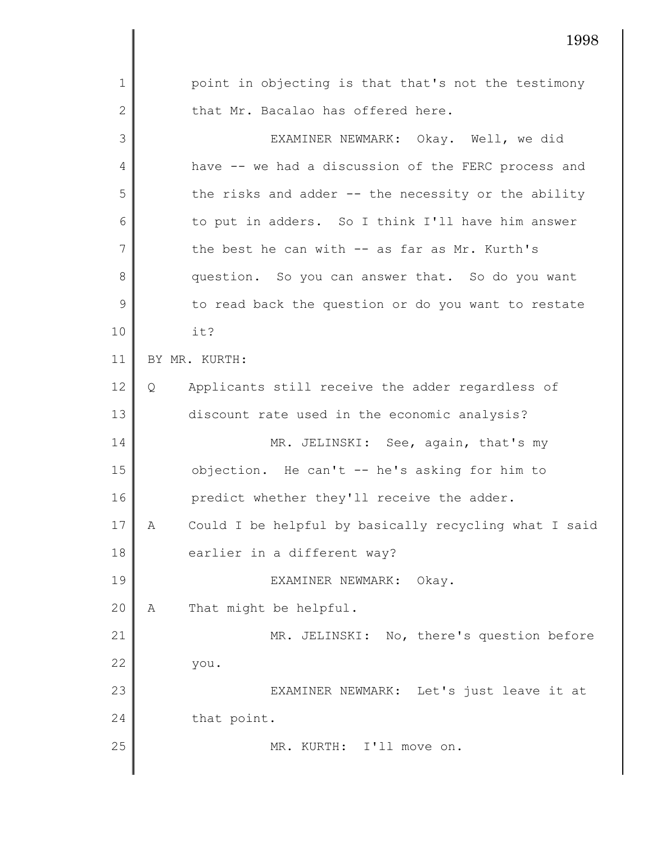2 3 4 5 6 7 8 9 10 11 12 13 14 15 16 17 18 19 20 21 22 23 24 25 that Mr. Bacalao has offered here. EXAMINER NEWMARK: Okay. Well, we did have -- we had a discussion of the FERC process and the risks and adder -- the necessity or the ability to put in adders. So I think I'll have him answer the best he can with -- as far as Mr. Kurth's question. So you can answer that. So do you want to read back the question or do you want to restate it? BY MR. KURTH: Q Applicants still receive the adder regardless of discount rate used in the economic analysis? MR. JELINSKI: See, again, that's my objection. He can't -- he's asking for him to predict whether they'll receive the adder. A Could I be helpful by basically recycling what I said earlier in a different way? EXAMINER NEWMARK: Okay. A That might be helpful. MR. JELINSKI: No, there's question before you. EXAMINER NEWMARK: Let's just leave it at that point. MR. KURTH: I'll move on.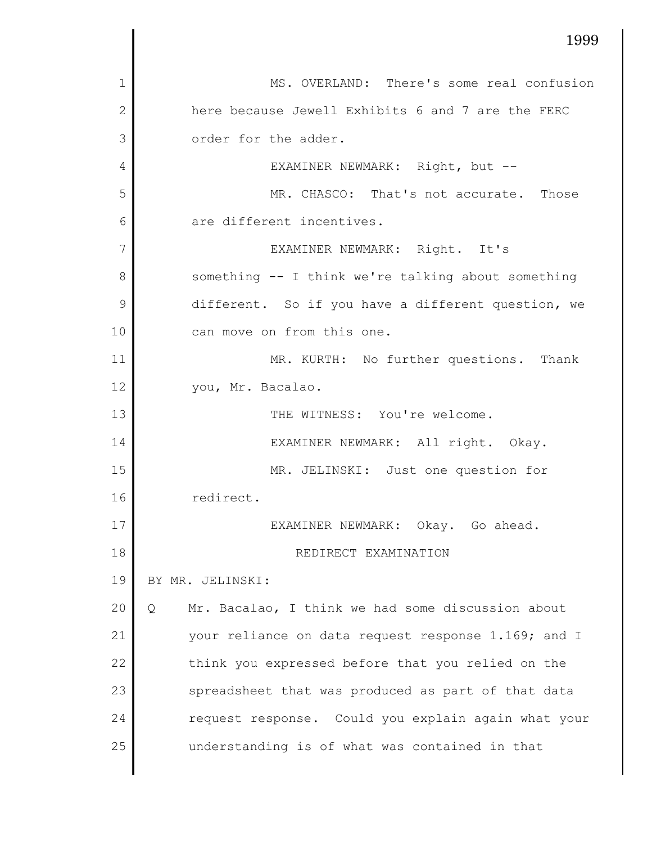|                | 1999                                                   |
|----------------|--------------------------------------------------------|
| $\mathbf{1}$   | MS. OVERLAND: There's some real confusion              |
| $\overline{2}$ | here because Jewell Exhibits 6 and 7 are the FERC      |
| 3              | order for the adder.                                   |
| 4              | EXAMINER NEWMARK: Right, but --                        |
| 5              | MR. CHASCO: That's not accurate. Those                 |
| 6              | are different incentives.                              |
| 7              | EXAMINER NEWMARK: Right. It's                          |
| 8              | something -- I think we're talking about something     |
| 9              | different. So if you have a different question, we     |
| 10             | can move on from this one.                             |
| 11             | MR. KURTH: No further questions. Thank                 |
| 12             | you, Mr. Bacalao.                                      |
| 13             | THE WITNESS: You're welcome.                           |
| 14             | EXAMINER NEWMARK: All right. Okay.                     |
| 15             | MR. JELINSKI: Just one question for                    |
| 16             | redirect.                                              |
| 17             | EXAMINER NEWMARK: Okay. Go ahead.                      |
| 18             | REDIRECT EXAMINATION                                   |
| 19             | BY MR. JELINSKI:                                       |
| 20             | Mr. Bacalao, I think we had some discussion about<br>Q |
| 21             | your reliance on data request response 1.169; and I    |
| 22             | think you expressed before that you relied on the      |
| 23             | spreadsheet that was produced as part of that data     |
| 24             | request response. Could you explain again what your    |
| 25             | understanding is of what was contained in that         |